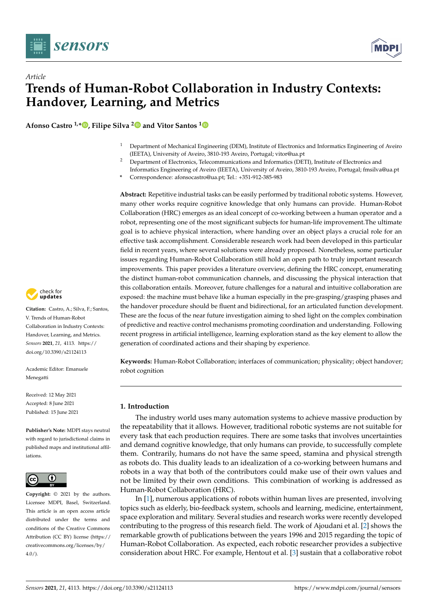

*Article*



# **Trends of Human-Robot Collaboration in Industry Contexts: Handover, Learning, and Metrics**

**Afonso Castro 1,\* [,](https://orcid.org/0000-0001-9571-9808) Filipe Silva [2](https://orcid.org/0000-0001-6191-0727) and Vitor Santos [1](https://orcid.org/0000-0003-1283-7388)**

- <sup>1</sup> Department of Mechanical Engineering (DEM), Institute of Electronics and Informatics Engineering of Aveiro (IEETA), University of Aveiro, 3810-193 Aveiro, Portugal; vitor@ua.pt
- <sup>2</sup> Department of Electronics, Telecommunications and Informatics (DETI), Institute of Electronics and Informatics Engineering of Aveiro (IEETA), University of Aveiro, 3810-193 Aveiro, Portugal; fmsilva@ua.pt
- **\*** Correspondence: afonsocastro@ua.pt; Tel.: +351-912-385-983

**Abstract:** Repetitive industrial tasks can be easily performed by traditional robotic systems. However, many other works require cognitive knowledge that only humans can provide. Human-Robot Collaboration (HRC) emerges as an ideal concept of co-working between a human operator and a robot, representing one of the most significant subjects for human-life improvement.The ultimate goal is to achieve physical interaction, where handing over an object plays a crucial role for an effective task accomplishment. Considerable research work had been developed in this particular field in recent years, where several solutions were already proposed. Nonetheless, some particular issues regarding Human-Robot Collaboration still hold an open path to truly important research improvements. This paper provides a literature overview, defining the HRC concept, enumerating the distinct human-robot communication channels, and discussing the physical interaction that this collaboration entails. Moreover, future challenges for a natural and intuitive collaboration are exposed: the machine must behave like a human especially in the pre-grasping/grasping phases and the handover procedure should be fluent and bidirectional, for an articulated function development. These are the focus of the near future investigation aiming to shed light on the complex combination of predictive and reactive control mechanisms promoting coordination and understanding. Following recent progress in artificial intelligence, learning exploration stand as the key element to allow the generation of coordinated actions and their shaping by experience.

**Keywords:** Human-Robot Collaboration; interfaces of communication; physicality; object handover; robot cognition

## **1. Introduction**

The industry world uses many automation systems to achieve massive production by the repeatability that it allows. However, traditional robotic systems are not suitable for every task that each production requires. There are some tasks that involves uncertainties and demand cognitive knowledge, that only humans can provide, to successfully complete them. Contrarily, humans do not have the same speed, stamina and physical strength as robots do. This duality leads to an idealization of a co-working between humans and robots in a way that both of the contributors could make use of their own values and not be limited by their own conditions. This combination of working is addressed as Human-Robot Collaboration (HRC).

In [\[1\]](#page-21-0), numerous applications of robots within human lives are presented, involving topics such as elderly, bio-feedback system, schools and learning, medicine, entertainment, space exploration and military. Several studies and research works were recently developed contributing to the progress of this research field. The work of Ajoudani et al. [\[2\]](#page-21-1) shows the remarkable growth of publications between the years 1996 and 2015 regarding the topic of Human-Robot Collaboration. As expected, each robotic researcher provides a subjective consideration about HRC. For example, Hentout et al. [\[3\]](#page-21-2) sustain that a collaborative robot



**Citation:** Castro, A.; Silva, F.; Santos, V. Trends of Human-Robot Collaboration in Industry Contexts: Handover, Learning, and Metrics. *Sensors* **2021**, *21*, 4113. [https://](https://doi.org/10.3390/s21124113) [doi.org/10.3390/s21124113](https://doi.org/10.3390/s21124113)

Academic Editor: Emanuele Menegatti

Received: 12 May 2021 Accepted: 8 June 2021 Published: 15 June 2021

**Publisher's Note:** MDPI stays neutral with regard to jurisdictional claims in published maps and institutional affiliations.



**Copyright:** © 2021 by the authors. Licensee MDPI, Basel, Switzerland. This article is an open access article distributed under the terms and conditions of the Creative Commons Attribution (CC BY) license (https:/[/](https://creativecommons.org/licenses/by/4.0/) [creativecommons.org/licenses/by/](https://creativecommons.org/licenses/by/4.0/)  $4.0/$ ).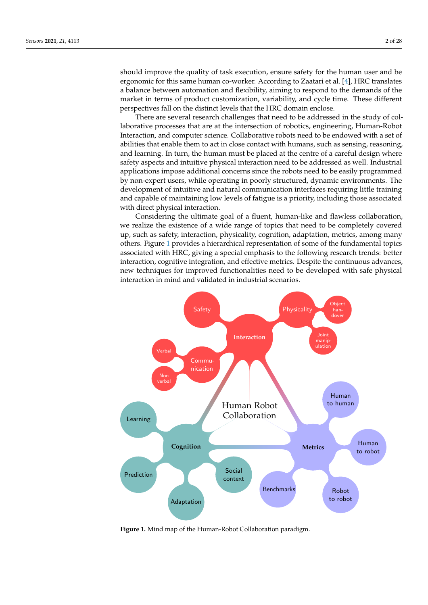should improve the quality of task execution, ensure safety for the human user and be ergonomic for this same human co-worker. According to Zaatari et al. [\[4\]](#page-21-3), HRC translates a balance between automation and flexibility, aiming to respond to the demands of the market in terms of product customization, variability, and cycle time. These different perspectives fall on the distinct levels that the HRC domain enclose.

There are several research challenges that need to be addressed in the study of collaborative processes that are at the intersection of robotics, engineering, Human-Robot Interaction, and computer science. Collaborative robots need to be endowed with a set of abilities that enable them to act in close contact with humans, such as sensing, reasoning, and learning. In turn, the human must be placed at the centre of a careful design where safety aspects and intuitive physical interaction need to be addressed as well. Industrial applications impose additional concerns since the robots need to be easily programmed by non-expert users, while operating in poorly structured, dynamic environments. The development of intuitive and natural communication interfaces requiring little training and capable of maintaining low levels of fatigue is a priority, including those associated with direct physical interaction.

Considering the ultimate goal of a fluent, human-like and flawless collaboration, we realize the existence of a wide range of topics that need to be completely covered up, such as safety, interaction, physicality, cognition, adaptation, metrics, among many others. Figure [1](#page-1-0) provides a hierarchical representation of some of the fundamental topics associated with HRC, giving a special emphasis to the following research trends: better interaction, cognitive integration, and effective metrics. Despite the continuous advances, new techniques for improved functionalities need to be developed with safe physical interaction in mind and validated in industrial scenarios.

<span id="page-1-0"></span>

**Figure 1.** Mind map of the Human-Robot Collaboration paradigm.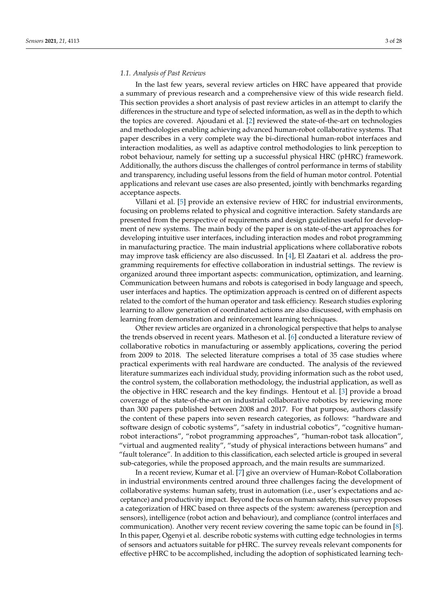#### *1.1. Analysis of Past Reviews*

In the last few years, several review articles on HRC have appeared that provide a summary of previous research and a comprehensive view of this wide research field. This section provides a short analysis of past review articles in an attempt to clarify the differences in the structure and type of selected information, as well as in the depth to which the topics are covered. Ajoudani et al. [\[2\]](#page-21-1) reviewed the state-of-the-art on technologies and methodologies enabling achieving advanced human-robot collaborative systems. That paper describes in a very complete way the bi-directional human-robot interfaces and interaction modalities, as well as adaptive control methodologies to link perception to robot behaviour, namely for setting up a successful physical HRC (pHRC) framework. Additionally, the authors discuss the challenges of control performance in terms of stability and transparency, including useful lessons from the field of human motor control. Potential applications and relevant use cases are also presented, jointly with benchmarks regarding acceptance aspects.

Villani et al. [\[5\]](#page-21-4) provide an extensive review of HRC for industrial environments, focusing on problems related to physical and cognitive interaction. Safety standards are presented from the perspective of requirements and design guidelines useful for development of new systems. The main body of the paper is on state-of-the-art approaches for developing intuitive user interfaces, including interaction modes and robot programming in manufacturing practice. The main industrial applications where collaborative robots may improve task efficiency are also discussed. In  $[4]$ , El Zaatari et al. address the programming requirements for effective collaboration in industrial settings. The review is organized around three important aspects: communication, optimization, and learning. Communication between humans and robots is categorised in body language and speech, user interfaces and haptics. The optimization approach is centred on of different aspects related to the comfort of the human operator and task efficiency. Research studies exploring learning to allow generation of coordinated actions are also discussed, with emphasis on learning from demonstration and reinforcement learning techniques.

Other review articles are organized in a chronological perspective that helps to analyse the trends observed in recent years. Matheson et al. [\[6\]](#page-21-5) conducted a literature review of collaborative robotics in manufacturing or assembly applications, covering the period from 2009 to 2018. The selected literature comprises a total of 35 case studies where practical experiments with real hardware are conducted. The analysis of the reviewed literature summarizes each individual study, providing information such as the robot used, the control system, the collaboration methodology, the industrial application, as well as the objective in HRC research and the key findings. Hentout et al. [\[3\]](#page-21-2) provide a broad coverage of the state-of-the-art on industrial collaborative robotics by reviewing more than 300 papers published between 2008 and 2017. For that purpose, authors classify the content of these papers into seven research categories, as follows: "hardware and software design of cobotic systems", "safety in industrial cobotics", "cognitive humanrobot interactions", "robot programming approaches", "human-robot task allocation", "virtual and augmented reality", "study of physical interactions between humans" and "fault tolerance". In addition to this classification, each selected article is grouped in several sub-categories, while the proposed approach, and the main results are summarized.

In a recent review, Kumar et al. [\[7\]](#page-21-6) give an overview of Human-Robot Collaboration in industrial environments centred around three challenges facing the development of collaborative systems: human safety, trust in automation (i.e., user's expectations and acceptance) and productivity impact. Beyond the focus on human safety, this survey proposes a categorization of HRC based on three aspects of the system: awareness (perception and sensors), intelligence (robot action and behaviour), and compliance (control interfaces and communication). Another very recent review covering the same topic can be found in [\[8\]](#page-21-7). In this paper, Ogenyi et al. describe robotic systems with cutting edge technologies in terms of sensors and actuators suitable for pHRC. The survey reveals relevant components for effective pHRC to be accomplished, including the adoption of sophisticated learning tech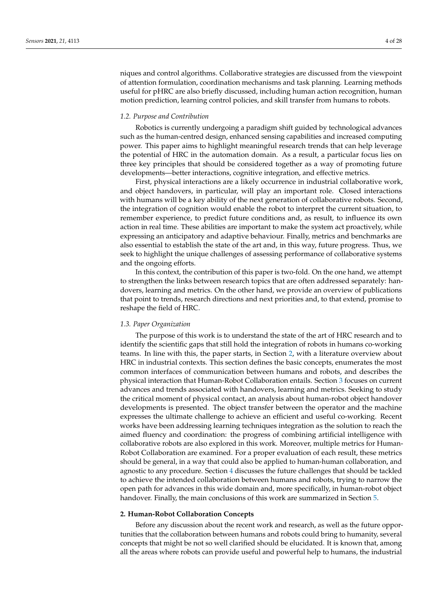niques and control algorithms. Collaborative strategies are discussed from the viewpoint of attention formulation, coordination mechanisms and task planning. Learning methods useful for pHRC are also briefly discussed, including human action recognition, human motion prediction, learning control policies, and skill transfer from humans to robots.

## *1.2. Purpose and Contribution*

Robotics is currently undergoing a paradigm shift guided by technological advances such as the human-centred design, enhanced sensing capabilities and increased computing power. This paper aims to highlight meaningful research trends that can help leverage the potential of HRC in the automation domain. As a result, a particular focus lies on three key principles that should be considered together as a way of promoting future developments—better interactions, cognitive integration, and effective metrics.

First, physical interactions are a likely occurrence in industrial collaborative work, and object handovers, in particular, will play an important role. Closed interactions with humans will be a key ability of the next generation of collaborative robots. Second, the integration of cognition would enable the robot to interpret the current situation, to remember experience, to predict future conditions and, as result, to influence its own action in real time. These abilities are important to make the system act proactively, while expressing an anticipatory and adaptive behaviour. Finally, metrics and benchmarks are also essential to establish the state of the art and, in this way, future progress. Thus, we seek to highlight the unique challenges of assessing performance of collaborative systems and the ongoing efforts.

In this context, the contribution of this paper is two-fold. On the one hand, we attempt to strengthen the links between research topics that are often addressed separately: handovers, learning and metrics. On the other hand, we provide an overview of publications that point to trends, research directions and next priorities and, to that extend, promise to reshape the field of HRC.

#### *1.3. Paper Organization*

The purpose of this work is to understand the state of the art of HRC research and to identify the scientific gaps that still hold the integration of robots in humans co-working teams. In line with this, the paper starts, in Section [2,](#page-3-0) with a literature overview about HRC in industrial contexts. This section defines the basic concepts, enumerates the most common interfaces of communication between humans and robots, and describes the physical interaction that Human-Robot Collaboration entails. Section [3](#page-12-0) focuses on current advances and trends associated with handovers, learning and metrics. Seeking to study the critical moment of physical contact, an analysis about human-robot object handover developments is presented. The object transfer between the operator and the machine expresses the ultimate challenge to achieve an efficient and useful co-working. Recent works have been addressing learning techniques integration as the solution to reach the aimed fluency and coordination: the progress of combining artificial intelligence with collaborative robots are also explored in this work. Moreover, multiple metrics for Human-Robot Collaboration are examined. For a proper evaluation of each result, these metrics should be general, in a way that could also be applied to human-human collaboration, and agnostic to any procedure. Section [4](#page-17-0) discusses the future challenges that should be tackled to achieve the intended collaboration between humans and robots, trying to narrow the open path for advances in this wide domain and, more specifically, in human-robot object handover. Finally, the main conclusions of this work are summarized in Section [5.](#page-20-0)

## <span id="page-3-0"></span>**2. Human-Robot Collaboration Concepts**

Before any discussion about the recent work and research, as well as the future opportunities that the collaboration between humans and robots could bring to humanity, several concepts that might be not so well clarified should be elucidated. It is known that, among all the areas where robots can provide useful and powerful help to humans, the industrial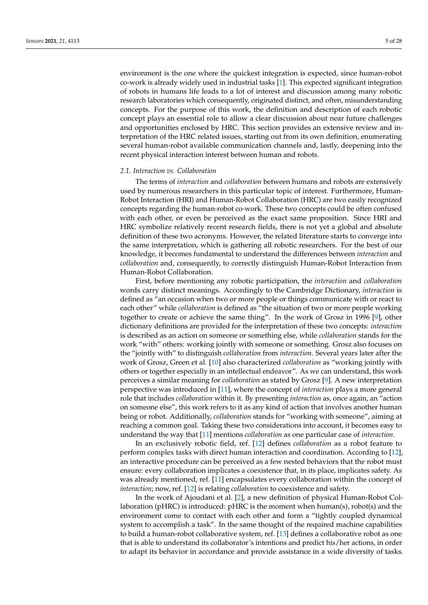environment is the one where the quickest integration is expected, since human-robot co-work is already widely used in industrial tasks [\[1\]](#page-21-0). This expected significant integration of robots in humans life leads to a lot of interest and discussion among many robotic research laboratories which consequently, originated distinct, and often, misunderstanding concepts. For the purpose of this work, the definition and description of each robotic concept plays an essential role to allow a clear discussion about near future challenges and opportunities enclosed by HRC. This section provides an extensive review and interpretation of the HRC related issues, starting out from its own definition, enumerating several human-robot available communication channels and, lastly, deepening into the recent physical interaction interest between human and robots.

#### *2.1. Interaction vs. Collaboration*

The terms of *interaction* and *collaboration* between humans and robots are extensively used by numerous researchers in this particular topic of interest. Furthermore, Human-Robot Interaction (HRI) and Human-Robot Collaboration (HRC) are two easily recognized concepts regarding the human-robot co-work. These two concepts could be often confused with each other, or even be perceived as the exact same proposition. Since HRI and HRC symbolize relatively recent research fields, there is not yet a global and absolute definition of these two acronyms. However, the related literature starts to converge into the same interpretation, which is gathering all robotic researchers. For the best of our knowledge, it becomes fundamental to understand the differences between *interaction* and *collaboration* and, consequently, to correctly distinguish Human-Robot Interaction from Human-Robot Collaboration.

First, before mentioning any robotic participation, the *interaction* and *collaboration* words carry distinct meanings. Accordingly to the Cambridge Dictionary, *interaction* is defined as "an occasion when two or more people or things communicate with or react to each other" while *collaboration* is defined as "the situation of two or more people working together to create or achieve the same thing". In the work of Grosz in 1996 [\[9\]](#page-21-8), other dictionary definitions are provided for the interpretation of these two concepts: *interaction* is described as an action on someone or something else, while *collaboration* stands for the work "with" others: working jointly with someone or something. Grosz also focuses on the "jointly with" to distinguish *collaboration* from *interaction*. Several years later after the work of Grosz, Green et al. [\[10\]](#page-21-9) also characterized *collaboration* as "working jointly with others or together especially in an intellectual endeavor". As we can understand, this work perceives a similar meaning for *collaboration* as stated by Grosz [\[9\]](#page-21-8). A new interpretation perspective was introduced in [\[11\]](#page-21-10), where the concept of *interaction* plays a more general role that includes *collaboration* within it. By presenting *interaction* as, once again, an "action on someone else", this work refers to it as any kind of action that involves another human being or robot. Additionally, *collaboration* stands for "working with someone", aiming at reaching a common goal. Taking these two considerations into account, it becomes easy to understand the way that [\[11\]](#page-21-10) mentions *collaboration* as one particular case of *interaction*.

In an exclusively robotic field, ref. [\[12\]](#page-21-11) defines *collaboration* as a robot feature to perform complex tasks with direct human interaction and coordination. According to [\[12\]](#page-21-11), an interactive procedure can be perceived as a few nested behaviors that the robot must ensure: every collaboration implicates a coexistence that, in its place, implicates safety. As was already mentioned, ref. [\[11\]](#page-21-10) encapsulates every collaboration within the concept of *interaction*; now, ref. [\[12\]](#page-21-11) is relating *collaboration* to coexistence and safety.

In the work of Ajoudani et al. [\[2\]](#page-21-1), a new definition of physical Human-Robot Collaboration (pHRC) is introduced: pHRC is the moment when human(s), robot(s) and the environment come to contact with each other and form a "tightly coupled dynamical system to accomplish a task". In the same thought of the required machine capabilities to build a human-robot collaborative system, ref. [\[13\]](#page-21-12) defines a collaborative robot as one that is able to understand its collaborator's intentions and predict his/her actions, in order to adapt its behavior in accordance and provide assistance in a wide diversity of tasks.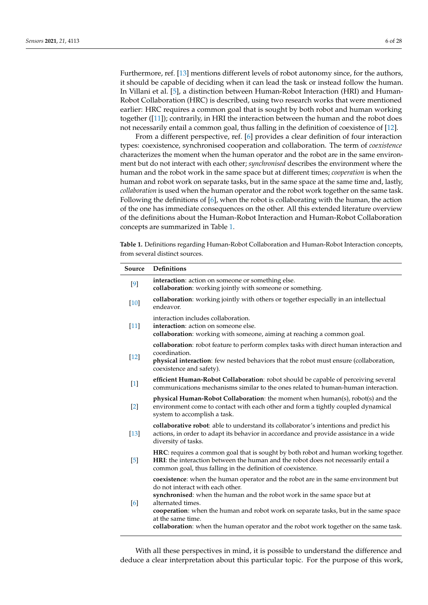Furthermore, ref. [\[13\]](#page-21-12) mentions different levels of robot autonomy since, for the authors, it should be capable of deciding when it can lead the task or instead follow the human. In Villani et al. [\[5\]](#page-21-4), a distinction between Human-Robot Interaction (HRI) and Human-Robot Collaboration (HRC) is described, using two research works that were mentioned earlier: HRC requires a common goal that is sought by both robot and human working together ([\[11\]](#page-21-10)); contrarily, in HRI the interaction between the human and the robot does

not necessarily entail a common goal, thus falling in the definition of coexistence of [\[12\]](#page-21-11). From a different perspective, ref. [\[6\]](#page-21-5) provides a clear definition of four interaction types: coexistence, synchronised cooperation and collaboration. The term of *coexistence* characterizes the moment when the human operator and the robot are in the same environment but do not interact with each other; *synchronised* describes the environment where the human and the robot work in the same space but at different times; *cooperation* is when the human and robot work on separate tasks, but in the same space at the same time and, lastly, *collaboration* is used when the human operator and the robot work together on the same task. Following the definitions of [\[6\]](#page-21-5), when the robot is collaborating with the human, the action of the one has immediate consequences on the other. All this extended literature overview of the definitions about the Human-Robot Interaction and Human-Robot Collaboration concepts are summarized in Table [1.](#page-5-0)

<span id="page-5-0"></span>**Table 1.** Definitions regarding Human-Robot Collaboration and Human-Robot Interaction concepts, from several distinct sources.

| Source | <b>Definitions</b>                                                                                                                                                                                                                                                                                                                                                                                                          |  |
|--------|-----------------------------------------------------------------------------------------------------------------------------------------------------------------------------------------------------------------------------------------------------------------------------------------------------------------------------------------------------------------------------------------------------------------------------|--|
| $[9]$  | interaction: action on someone or something else.<br>collaboration: working jointly with someone or something.                                                                                                                                                                                                                                                                                                              |  |
| $[10]$ | collaboration: working jointly with others or together especially in an intellectual<br>endeavor.                                                                                                                                                                                                                                                                                                                           |  |
| $[11]$ | interaction includes collaboration.<br>interaction: action on someone else.<br>collaboration: working with someone, aiming at reaching a common goal.                                                                                                                                                                                                                                                                       |  |
| $[12]$ | collaboration: robot feature to perform complex tasks with direct human interaction and<br>coordination.<br>physical interaction: few nested behaviors that the robot must ensure (collaboration,<br>coexistence and safety).                                                                                                                                                                                               |  |
| $[1]$  | efficient Human-Robot Collaboration: robot should be capable of perceiving several<br>communications mechanisms similar to the ones related to human-human interaction.                                                                                                                                                                                                                                                     |  |
| $[2]$  | physical Human-Robot Collaboration: the moment when human(s), robot(s) and the<br>environment come to contact with each other and form a tightly coupled dynamical<br>system to accomplish a task.                                                                                                                                                                                                                          |  |
| $[13]$ | collaborative robot: able to understand its collaborator's intentions and predict his<br>actions, in order to adapt its behavior in accordance and provide assistance in a wide<br>diversity of tasks.                                                                                                                                                                                                                      |  |
| $[5]$  | HRC: requires a common goal that is sought by both robot and human working together.<br>HRI: the interaction between the human and the robot does not necessarily entail a<br>common goal, thus falling in the definition of coexistence.                                                                                                                                                                                   |  |
| [6]    | coexistence: when the human operator and the robot are in the same environment but<br>do not interact with each other.<br>synchronised: when the human and the robot work in the same space but at<br>alternated times.<br>cooperation: when the human and robot work on separate tasks, but in the same space<br>at the same time.<br>collaboration: when the human operator and the robot work together on the same task. |  |

With all these perspectives in mind, it is possible to understand the difference and deduce a clear interpretation about this particular topic. For the purpose of this work,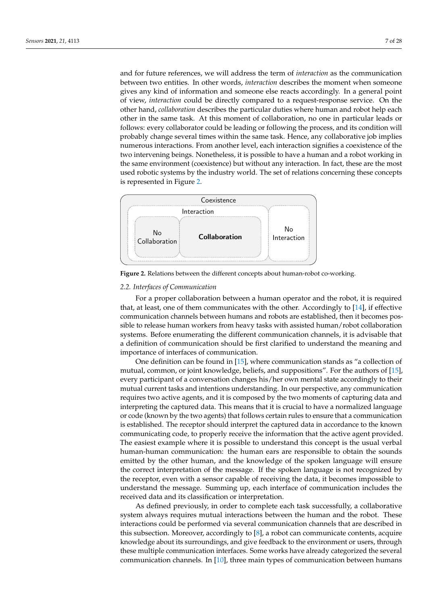and for future references, we will address the term of *interaction* as the communication between two entities. In other words, *interaction* describes the moment when someone gives any kind of information and someone else reacts accordingly. In a general point of view, *interaction* could be directly compared to a request-response service. On the other hand, *collaboration* describes the particular duties where human and robot help each other in the same task. At this moment of collaboration, no one in particular leads or follows: every collaborator could be leading or following the process, and its condition will probably change several times within the same task. Hence, any collaborative job implies numerous interactions. From another level, each interaction signifies a coexistence of the two intervening beings. Nonetheless, it is possible to have a human and a robot working in the same environment (coexistence) but without any interaction. In fact, these are the most used robotic systems by the industry world. The set of relations concerning these concepts is represented in Figure [2.](#page-6-0)

<span id="page-6-0"></span>

**Figure 2.** Relations between the different concepts about human-robot co-working.

### *2.2. Interfaces of Communication*

For a proper collaboration between a human operator and the robot, it is required that, at least, one of them communicates with the other. Accordingly to [\[14\]](#page-21-13), if effective communication channels between humans and robots are established, then it becomes possible to release human workers from heavy tasks with assisted human/robot collaboration systems. Before enumerating the different communication channels, it is advisable that a definition of communication should be first clarified to understand the meaning and importance of interfaces of communication.

One definition can be found in [\[15\]](#page-21-14), where communication stands as "a collection of mutual, common, or joint knowledge, beliefs, and suppositions". For the authors of [\[15\]](#page-21-14), every participant of a conversation changes his/her own mental state accordingly to their mutual current tasks and intentions understanding. In our perspective, any communication requires two active agents, and it is composed by the two moments of capturing data and interpreting the captured data. This means that it is crucial to have a normalized language or code (known by the two agents) that follows certain rules to ensure that a communication is established. The receptor should interpret the captured data in accordance to the known communicating code, to properly receive the information that the active agent provided. The easiest example where it is possible to understand this concept is the usual verbal human-human communication: the human ears are responsible to obtain the sounds emitted by the other human, and the knowledge of the spoken language will ensure the correct interpretation of the message. If the spoken language is not recognized by the receptor, even with a sensor capable of receiving the data, it becomes impossible to understand the message. Summing up, each interface of communication includes the received data and its classification or interpretation.

As defined previously, in order to complete each task successfully, a collaborative system always requires mutual interactions between the human and the robot. These interactions could be performed via several communication channels that are described in this subsection. Moreover, accordingly to [\[8\]](#page-21-7), a robot can communicate contents, acquire knowledge about its surroundings, and give feedback to the environment or users, through these multiple communication interfaces. Some works have already categorized the several communication channels. In [\[10\]](#page-21-9), three main types of communication between humans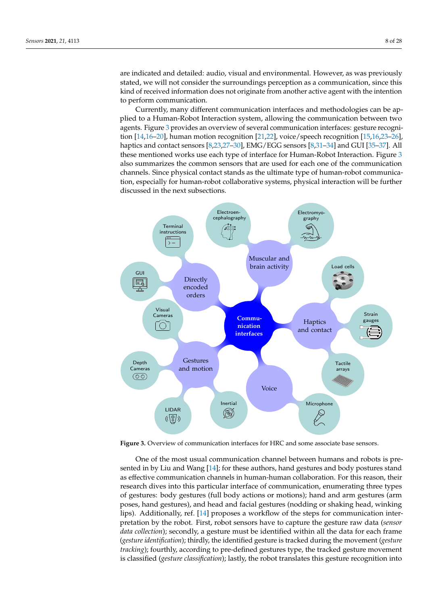are indicated and detailed: audio, visual and environmental. However, as was previously stated, we will not consider the surroundings perception as a communication, since this kind of received information does not originate from another active agent with the intention to perform communication.

Currently, many different communication interfaces and methodologies can be applied to a Human-Robot Interaction system, allowing the communication between two agents. Figure [3](#page-7-0) provides an overview of several communication interfaces: gesture recogni-tion [\[14](#page-21-13),16-[20\]](#page-22-0), human motion recognition [\[21](#page-22-1)[,22\]](#page-22-2), voice/speech recognition [\[15,](#page-21-14)[16](#page-21-15),23-[26\]](#page-22-4), haptics and contact sensors [\[8](#page-21-7)[,23](#page-22-3)[,27–](#page-22-5)[30\]](#page-22-6), EMG/EGG sensors [\[8](#page-21-7)[,31](#page-22-7)[–34\]](#page-22-8) and GUI [\[35](#page-22-9)[–37\]](#page-22-10). All these mentioned works use each type of interface for Human-Robot Interaction. Figure [3](#page-7-0) also summarizes the common sensors that are used for each one of the communication channels. Since physical contact stands as the ultimate type of human-robot communication, especially for human-robot collaborative systems, physical interaction will be further discussed in the next subsections.

<span id="page-7-0"></span>

**Figure 3.** Overview of communication interfaces for HRC and some associate base sensors.

One of the most usual communication channel between humans and robots is presented in by Liu and Wang [\[14\]](#page-21-13); for these authors, hand gestures and body postures stand as effective communication channels in human-human collaboration. For this reason, their research dives into this particular interface of communication, enumerating three types of gestures: body gestures (full body actions or motions); hand and arm gestures (arm poses, hand gestures), and head and facial gestures (nodding or shaking head, winking lips). Additionally, ref. [\[14\]](#page-21-13) proposes a workflow of the steps for communication interpretation by the robot. First, robot sensors have to capture the gesture raw data (*sensor data collection*); secondly, a gesture must be identified within all the data for each frame (*gesture identification*); thirdly, the identified gesture is tracked during the movement (*gesture tracking*); fourthly, according to pre-defined gestures type, the tracked gesture movement is classified (*gesture classification*); lastly, the robot translates this gesture recognition into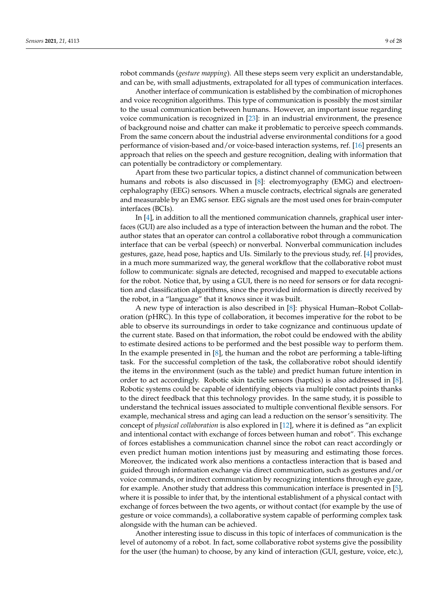robot commands (*gesture mapping*). All these steps seem very explicit an understandable, and can be, with small adjustments, extrapolated for all types of communication interfaces.

Another interface of communication is established by the combination of microphones and voice recognition algorithms. This type of communication is possibly the most similar to the usual communication between humans. However, an important issue regarding voice communication is recognized in [\[23\]](#page-22-3): in an industrial environment, the presence of background noise and chatter can make it problematic to perceive speech commands. From the same concern about the industrial adverse environmental conditions for a good performance of vision-based and/or voice-based interaction systems, ref. [\[16\]](#page-21-15) presents an approach that relies on the speech and gesture recognition, dealing with information that can potentially be contradictory or complementary.

Apart from these two particular topics, a distinct channel of communication between humans and robots is also discussed in [\[8\]](#page-21-7): electromyography (EMG) and electroencephalography (EEG) sensors. When a muscle contracts, electrical signals are generated and measurable by an EMG sensor. EEG signals are the most used ones for brain-computer interfaces (BCIs).

In [\[4\]](#page-21-3), in addition to all the mentioned communication channels, graphical user interfaces (GUI) are also included as a type of interaction between the human and the robot. The author states that an operator can control a collaborative robot through a communication interface that can be verbal (speech) or nonverbal. Nonverbal communication includes gestures, gaze, head pose, haptics and UIs. Similarly to the previous study, ref. [\[4\]](#page-21-3) provides, in a much more summarized way, the general workflow that the collaborative robot must follow to communicate: signals are detected, recognised and mapped to executable actions for the robot. Notice that, by using a GUI, there is no need for sensors or for data recognition and classification algorithms, since the provided information is directly received by the robot, in a "language" that it knows since it was built.

A new type of interaction is also described in [\[8\]](#page-21-7): physical Human–Robot Collaboration (pHRC). In this type of collaboration, it becomes imperative for the robot to be able to observe its surroundings in order to take cognizance and continuous update of the current state. Based on that information, the robot could be endowed with the ability to estimate desired actions to be performed and the best possible way to perform them. In the example presented in [\[8\]](#page-21-7), the human and the robot are performing a table-lifting task. For the successful completion of the task, the collaborative robot should identify the items in the environment (such as the table) and predict human future intention in order to act accordingly. Robotic skin tactile sensors (haptics) is also addressed in [\[8\]](#page-21-7). Robotic systems could be capable of identifying objects via multiple contact points thanks to the direct feedback that this technology provides. In the same study, it is possible to understand the technical issues associated to multiple conventional flexible sensors. For example, mechanical stress and aging can lead a reduction on the sensor's sensitivity. The concept of *physical collaboration* is also explored in [\[12\]](#page-21-11), where it is defined as "an explicit and intentional contact with exchange of forces between human and robot". This exchange of forces establishes a communication channel since the robot can react accordingly or even predict human motion intentions just by measuring and estimating those forces. Moreover, the indicated work also mentions a contactless interaction that is based and guided through information exchange via direct communication, such as gestures and/or voice commands, or indirect communication by recognizing intentions through eye gaze, for example. Another study that address this communication interface is presented in [\[5\]](#page-21-4), where it is possible to infer that, by the intentional establishment of a physical contact with exchange of forces between the two agents, or without contact (for example by the use of gesture or voice commands), a collaborative system capable of performing complex task alongside with the human can be achieved.

Another interesting issue to discuss in this topic of interfaces of communication is the level of autonomy of a robot. In fact, some collaborative robot systems give the possibility for the user (the human) to choose, by any kind of interaction (GUI, gesture, voice, etc.),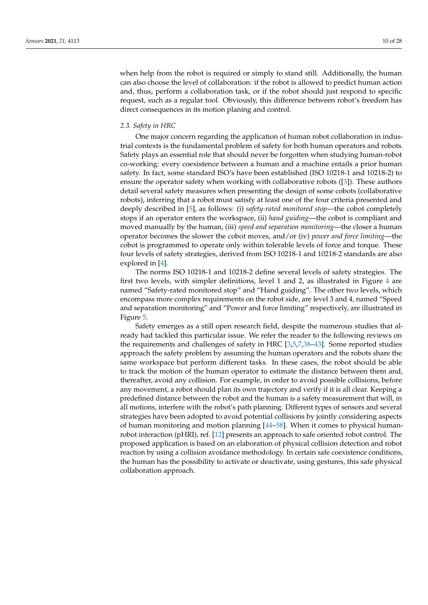when help from the robot is required or simply to stand still. Additionally, the human can also choose the level of collaboration: if the robot is allowed to predict human action and, thus, perform a collaboration task, or if the robot should just respond to specific request, such as a regular tool. Obviously, this difference between robot's freedom has direct consequences in its motion planing and control.

### *2.3. Safety in HRC*

One major concern regarding the application of human robot collaboration in industrial contexts is the fundamental problem of safety for both human operators and robots. Safety plays an essential role that should never be forgotten when studying human-robot co-working: every coexistence between a human and a machine entails a prior human safety. In fact, some standard ISO's have been established (ISO 10218-1 and 10218-2) to ensure the operator safety when working with collaborative robots ([\[3\]](#page-21-2)). These authors detail several safety measures when presenting the design of some cobots (collaborative robots), inferring that a robot must satisfy at least one of the four criteria presented and deeply described in [\[5\]](#page-21-4), as follows: (i) *safety-rated monitored stop*—the cobot completely stops if an operator enters the workspace, (ii) *hand guiding*—the cobot is compliant and moved manually by the human, (iii) *speed and separation monitoring*—the closer a human operator becomes the slower the cobot moves, and/or (iv) *power and force limiting*—the cobot is programmed to operate only within tolerable levels of force and torque. These four levels of safety strategies, derived from ISO 10218-1 and 10218-2 standards are also explored in [\[4\]](#page-21-3).

The norms ISO 10218-1 and 10218-2 define several levels of safety strategies. The first two levels, with simpler definitions, level 1 and 2, as illustrated in Figure [4](#page-10-0) are named "Safety-rated monitored stop" and "Hand guiding". The other two levels, which encompass more complex requirements on the robot side, are level 3 and 4, named "Speed and separation monitoring" and "Power and force limiting" respectively, are illustrated in Figure [5.](#page-10-1)

Safety emerges as a still open research field, despite the numerous studies that already had tackled this particular issue. We refer the reader to the following reviews on the requirements and challenges of safety in HRC [\[3](#page-21-2)[,5,](#page-21-4)[7,](#page-21-6)[38](#page-22-11)[–43\]](#page-23-0). Some reported studies approach the safety problem by assuming the human operators and the robots share the same workspace but perform different tasks. In these cases, the robot should be able to track the motion of the human operator to estimate the distance between them and, thereafter, avoid any collision. For example, in order to avoid possible collisions, before any movement, a robot should plan its own trajectory and verify if it is all clear. Keeping a predefined distance between the robot and the human is a safety measurement that will, in all motions, interfere with the robot's path planning. Different types of sensors and several strategies have been adopted to avoid potential collisions by jointly considering aspects of human monitoring and motion planning [\[44](#page-23-1)[–58\]](#page-23-2). When it comes to physical humanrobot interaction (pHRI), ref. [\[12\]](#page-21-11) presents an approach to safe oriented robot control. The proposed application is based on an elaboration of physical collision detection and robot reaction by using a collision avoidance methodology. In certain safe coexistence conditions, the human has the possibility to activate or deactivate, using gestures, this safe physical collaboration approach.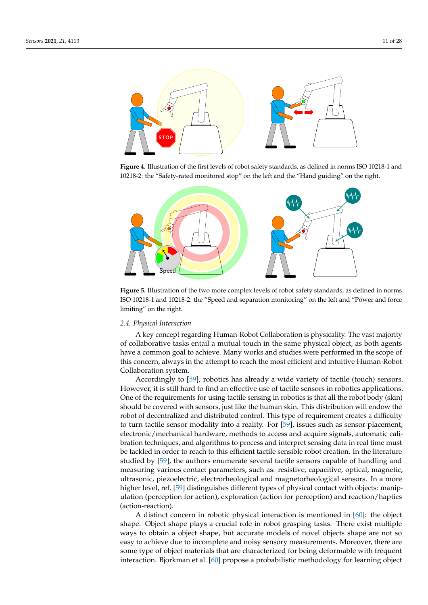<span id="page-10-0"></span>

**Figure 4.** Illustration of the first levels of robot safety standards, as defined in norms ISO 10218-1 and 10218-2: the "Safety-rated monitored stop" on the left and the "Hand guiding" on the right.

<span id="page-10-1"></span>

**Figure 5.** Illustration of the two more complex levels of robot safety standards, as defined in norms ISO 10218-1 and 10218-2: the "Speed and separation monitoring" on the left and "Power and force limiting" on the right.

## *2.4. Physical Interaction*

A key concept regarding Human-Robot Collaboration is physicality. The vast majority of collaborative tasks entail a mutual touch in the same physical object, as both agents have a common goal to achieve. Many works and studies were performed in the scope of this concern, always in the attempt to reach the most efficient and intuitive Human-Robot Collaboration system.

Accordingly to [\[59\]](#page-23-3), robotics has already a wide variety of tactile (touch) sensors. However, it is still hard to find an effective use of tactile sensors in robotics applications. One of the requirements for using tactile sensing in robotics is that all the robot body (skin) should be covered with sensors, just like the human skin. This distribution will endow the robot of decentralized and distributed control. This type of requirement creates a difficulty to turn tactile sensor modality into a reality. For [\[59\]](#page-23-3), issues such as sensor placement, electronic/mechanical hardware, methods to access and acquire signals, automatic calibration techniques, and algorithms to process and interpret sensing data in real time must be tackled in order to reach to this efficient tactile sensible robot creation. In the literature studied by [\[59\]](#page-23-3), the authors enumerate several tactile sensors capable of handling and measuring various contact parameters, such as: resistive, capacitive, optical, magnetic, ultrasonic, piezoelectric, electrorheological and magnetorheological sensors. In a more higher level, ref. [\[59\]](#page-23-3) distinguishes different types of physical contact with objects: manipulation (perception for action), exploration (action for perception) and reaction/haptics (action-reaction).

A distinct concern in robotic physical interaction is mentioned in [\[60\]](#page-23-4): the object shape. Object shape plays a crucial role in robot grasping tasks. There exist multiple ways to obtain a object shape, but accurate models of novel objects shape are not so easy to achieve due to incomplete and noisy sensory measurements. Moreover, there are some type of object materials that are characterized for being deformable with frequent interaction. Bjorkman et al. [\[60\]](#page-23-4) propose a probabilistic methodology for learning object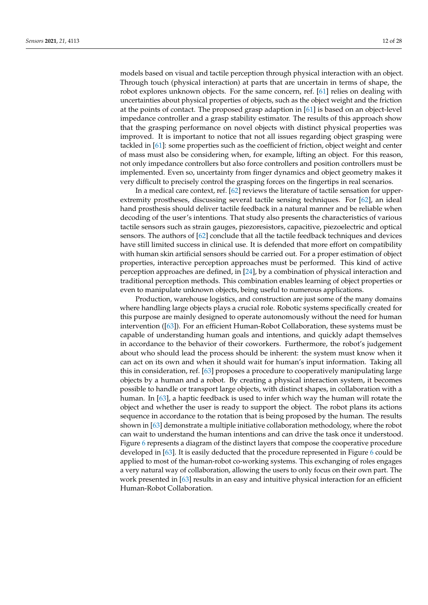models based on visual and tactile perception through physical interaction with an object. Through touch (physical interaction) at parts that are uncertain in terms of shape, the robot explores unknown objects. For the same concern, ref. [\[61\]](#page-23-5) relies on dealing with uncertainties about physical properties of objects, such as the object weight and the friction at the points of contact. The proposed grasp adaption in [\[61\]](#page-23-5) is based on an object-level impedance controller and a grasp stability estimator. The results of this approach show that the grasping performance on novel objects with distinct physical properties was improved. It is important to notice that not all issues regarding object grasping were tackled in [\[61\]](#page-23-5): some properties such as the coefficient of friction, object weight and center of mass must also be considering when, for example, lifting an object. For this reason, not only impedance controllers but also force controllers and position controllers must be implemented. Even so, uncertainty from finger dynamics and object geometry makes it very difficult to precisely control the grasping forces on the fingertips in real scenarios.

In a medical care context, ref. [\[62\]](#page-23-6) reviews the literature of tactile sensation for upperextremity prostheses, discussing several tactile sensing techniques. For [\[62\]](#page-23-6), an ideal hand prosthesis should deliver tactile feedback in a natural manner and be reliable when decoding of the user's intentions. That study also presents the characteristics of various tactile sensors such as strain gauges, piezoresistors, capacitive, piezoelectric and optical sensors. The authors of [\[62\]](#page-23-6) conclude that all the tactile feedback techniques and devices have still limited success in clinical use. It is defended that more effort on compatibility with human skin artificial sensors should be carried out. For a proper estimation of object properties, interactive perception approaches must be performed. This kind of active perception approaches are defined, in [\[24\]](#page-22-12), by a combination of physical interaction and traditional perception methods. This combination enables learning of object properties or even to manipulate unknown objects, being useful to numerous applications.

Production, warehouse logistics, and construction are just some of the many domains where handling large objects plays a crucial role. Robotic systems specifically created for this purpose are mainly designed to operate autonomously without the need for human intervention ([\[63\]](#page-23-7)). For an efficient Human-Robot Collaboration, these systems must be capable of understanding human goals and intentions, and quickly adapt themselves in accordance to the behavior of their coworkers. Furthermore, the robot's judgement about who should lead the process should be inherent: the system must know when it can act on its own and when it should wait for human's input information. Taking all this in consideration, ref. [\[63\]](#page-23-7) proposes a procedure to cooperatively manipulating large objects by a human and a robot. By creating a physical interaction system, it becomes possible to handle or transport large objects, with distinct shapes, in collaboration with a human. In [\[63\]](#page-23-7), a haptic feedback is used to infer which way the human will rotate the object and whether the user is ready to support the object. The robot plans its actions sequence in accordance to the rotation that is being proposed by the human. The results shown in [\[63\]](#page-23-7) demonstrate a multiple initiative collaboration methodology, where the robot can wait to understand the human intentions and can drive the task once it understood. Figure [6](#page-12-1) represents a diagram of the distinct layers that compose the cooperative procedure developed in [\[63\]](#page-23-7). It is easily deducted that the procedure represented in Figure [6](#page-12-1) could be applied to most of the human-robot co-working systems. This exchanging of roles engages a very natural way of collaboration, allowing the users to only focus on their own part. The work presented in [\[63\]](#page-23-7) results in an easy and intuitive physical interaction for an efficient Human-Robot Collaboration.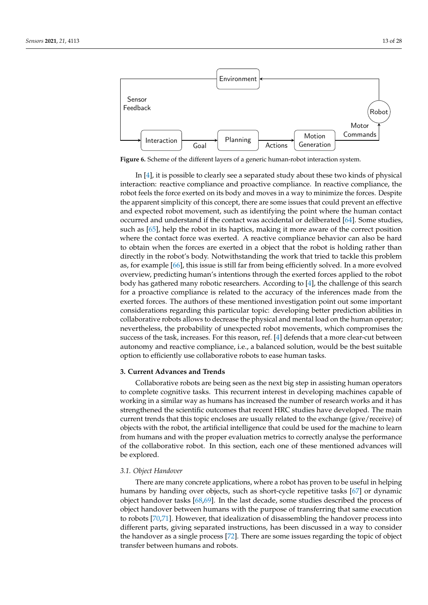<span id="page-12-1"></span>

**Figure 6.** Scheme of the different layers of a generic human-robot interaction system.

In [\[4\]](#page-21-3), it is possible to clearly see a separated study about these two kinds of physical interaction: reactive compliance and proactive compliance. In reactive compliance, the robot feels the force exerted on its body and moves in a way to minimize the forces. Despite the apparent simplicity of this concept, there are some issues that could prevent an effective and expected robot movement, such as identifying the point where the human contact occurred and understand if the contact was accidental or deliberated [\[64\]](#page-23-8). Some studies, such as [\[65\]](#page-23-9), help the robot in its haptics, making it more aware of the correct position where the contact force was exerted. A reactive compliance behavior can also be hard to obtain when the forces are exerted in a object that the robot is holding rather than directly in the robot's body. Notwithstanding the work that tried to tackle this problem as, for example [\[66\]](#page-24-0), this issue is still far from being efficiently solved. In a more evolved overview, predicting human's intentions through the exerted forces applied to the robot body has gathered many robotic researchers. According to [\[4\]](#page-21-3), the challenge of this search for a proactive compliance is related to the accuracy of the inferences made from the exerted forces. The authors of these mentioned investigation point out some important considerations regarding this particular topic: developing better prediction abilities in collaborative robots allows to decrease the physical and mental load on the human operator; nevertheless, the probability of unexpected robot movements, which compromises the success of the task, increases. For this reason, ref. [\[4\]](#page-21-3) defends that a more clear-cut between autonomy and reactive compliance, i.e., a balanced solution, would be the best suitable option to efficiently use collaborative robots to ease human tasks.

#### <span id="page-12-0"></span>**3. Current Advances and Trends**

Collaborative robots are being seen as the next big step in assisting human operators to complete cognitive tasks. This recurrent interest in developing machines capable of working in a similar way as humans has increased the number of research works and it has strengthened the scientific outcomes that recent HRC studies have developed. The main current trends that this topic encloses are usually related to the exchange (give/receive) of objects with the robot, the artificial intelligence that could be used for the machine to learn from humans and with the proper evaluation metrics to correctly analyse the performance of the collaborative robot. In this section, each one of these mentioned advances will be explored.

#### *3.1. Object Handover*

There are many concrete applications, where a robot has proven to be useful in helping humans by handing over objects, such as short-cycle repetitive tasks [\[67\]](#page-24-1) or dynamic object handover tasks [\[68](#page-24-2)[,69\]](#page-24-3). In the last decade, some studies described the process of object handover between humans with the purpose of transferring that same execution to robots [\[70,](#page-24-4)[71\]](#page-24-5). However, that idealization of disassembling the handover process into different parts, giving separated instructions, has been discussed in a way to consider the handover as a single process [\[72\]](#page-24-6). There are some issues regarding the topic of object transfer between humans and robots.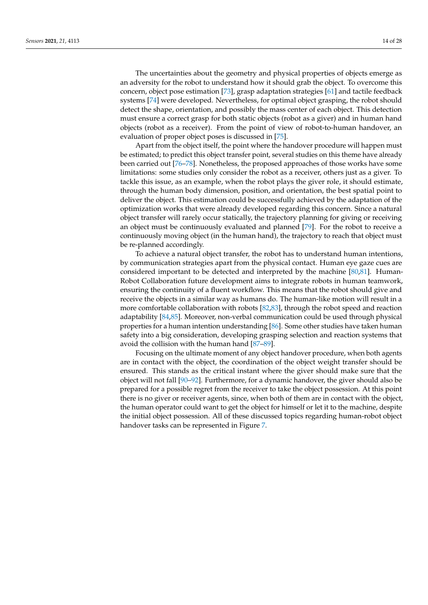The uncertainties about the geometry and physical properties of objects emerge as an adversity for the robot to understand how it should grab the object. To overcome this concern, object pose estimation [\[73\]](#page-24-7), grasp adaptation strategies [\[61\]](#page-23-5) and tactile feedback systems [\[74\]](#page-24-8) were developed. Nevertheless, for optimal object grasping, the robot should detect the shape, orientation, and possibly the mass center of each object. This detection must ensure a correct grasp for both static objects (robot as a giver) and in human hand objects (robot as a receiver). From the point of view of robot-to-human handover, an evaluation of proper object poses is discussed in [\[75\]](#page-24-9).

Apart from the object itself, the point where the handover procedure will happen must be estimated; to predict this object transfer point, several studies on this theme have already been carried out [\[76](#page-24-10)[–78\]](#page-24-11). Nonetheless, the proposed approaches of those works have some limitations: some studies only consider the robot as a receiver, others just as a giver. To tackle this issue, as an example, when the robot plays the giver role, it should estimate, through the human body dimension, position, and orientation, the best spatial point to deliver the object. This estimation could be successfully achieved by the adaptation of the optimization works that were already developed regarding this concern. Since a natural object transfer will rarely occur statically, the trajectory planning for giving or receiving an object must be continuously evaluated and planned [\[79\]](#page-24-12). For the robot to receive a continuously moving object (in the human hand), the trajectory to reach that object must be re-planned accordingly.

To achieve a natural object transfer, the robot has to understand human intentions, by communication strategies apart from the physical contact. Human eye gaze cues are considered important to be detected and interpreted by the machine [\[80](#page-24-13)[,81\]](#page-24-14). Human-Robot Collaboration future development aims to integrate robots in human teamwork, ensuring the continuity of a fluent workflow. This means that the robot should give and receive the objects in a similar way as humans do. The human-like motion will result in a more comfortable collaboration with robots [\[82](#page-24-15)[,83\]](#page-24-16), through the robot speed and reaction adaptability [\[84](#page-24-17)[,85\]](#page-24-18). Moreover, non-verbal communication could be used through physical properties for a human intention understanding [\[86\]](#page-24-19). Some other studies have taken human safety into a big consideration, developing grasping selection and reaction systems that avoid the collision with the human hand [\[87–](#page-24-20)[89\]](#page-25-0).

Focusing on the ultimate moment of any object handover procedure, when both agents are in contact with the object, the coordination of the object weight transfer should be ensured. This stands as the critical instant where the giver should make sure that the object will not fall [\[90](#page-25-1)[–92\]](#page-25-2). Furthermore, for a dynamic handover, the giver should also be prepared for a possible regret from the receiver to take the object possession. At this point there is no giver or receiver agents, since, when both of them are in contact with the object, the human operator could want to get the object for himself or let it to the machine, despite the initial object possession. All of these discussed topics regarding human-robot object handover tasks can be represented in Figure [7.](#page-14-0)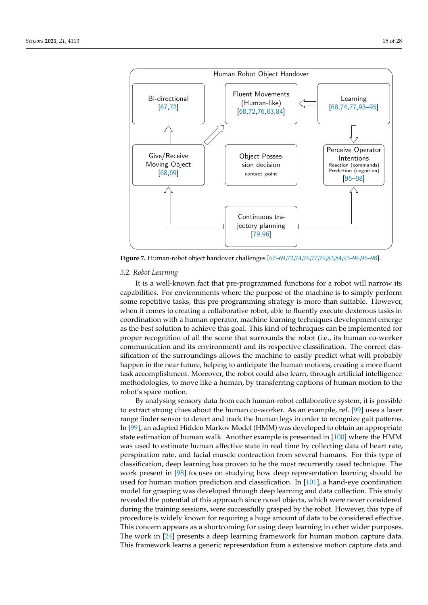<span id="page-14-0"></span>

**Figure 7.** Human-robot object handover challenges [\[67–](#page-24-1)[69](#page-24-3)[,72,](#page-24-6)[74,](#page-24-8)[76,](#page-24-10)[77](#page-24-21)[,79](#page-24-12)[,83](#page-24-16)[,84,](#page-24-17)[93](#page-25-3)[–96,96](#page-25-5)[–98\]](#page-25-6).

#### *3.2. Robot Learning*

It is a well-known fact that pre-programmed functions for a robot will narrow its capabilities. For environments where the purpose of the machine is to simply perform some repetitive tasks, this pre-programming strategy is more than suitable. However, when it comes to creating a collaborative robot, able to fluently execute dexterous tasks in coordination with a human operator, machine learning techniques development emerge as the best solution to achieve this goal. This kind of techniques can be implemented for proper recognition of all the scene that surrounds the robot (i.e., its human co-worker communication and its environment) and its respective classification. The correct classification of the surroundings allows the machine to easily predict what will probably happen in the near future, helping to anticipate the human motions, creating a more fluent task accomplishment. Moreover, the robot could also learn, through artificial intelligence methodologies, to move like a human, by transferring captions of human motion to the robot's space motion.

By analysing sensory data from each human-robot collaborative system, it is possible to extract strong clues about the human co-worker. As an example, ref. [\[99\]](#page-25-7) uses a laser range finder sensor to detect and track the human legs in order to recognize gait patterns. In [\[99\]](#page-25-7), an adapted Hidden Markov Model (HMM) was developed to obtain an appropriate state estimation of human walk. Another example is presented in [\[100\]](#page-25-8) where the HMM was used to estimate human affective state in real time by collecting data of heart rate, perspiration rate, and facial muscle contraction from several humans. For this type of classification, deep learning has proven to be the most recurrently used technique. The work present in [\[98\]](#page-25-6) focuses on studying how deep representation learning should be used for human motion prediction and classification. In [\[101\]](#page-25-9), a hand-eye coordination model for grasping was developed through deep learning and data collection. This study revealed the potential of this approach since novel objects, which were never considered during the training sessions, were successfully grasped by the robot. However, this type of procedure is widely known for requiring a huge amount of data to be considered effective. This concern appears as a shortcoming for using deep learning in other wider purposes. The work in [\[24\]](#page-22-12) presents a deep learning framework for human motion capture data. This framework learns a generic representation from a extensive motion capture data and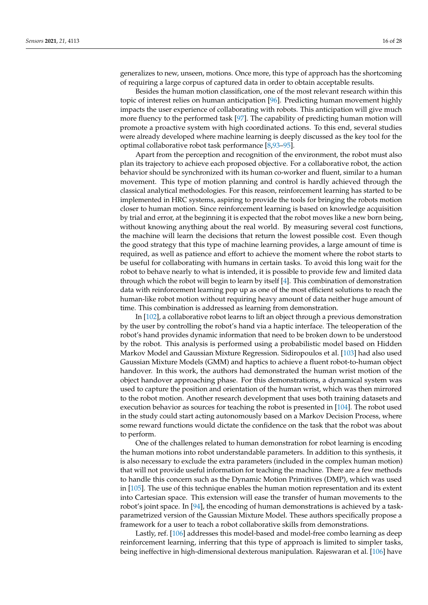generalizes to new, unseen, motions. Once more, this type of approach has the shortcoming of requiring a large corpus of captured data in order to obtain acceptable results.

Besides the human motion classification, one of the most relevant research within this topic of interest relies on human anticipation [\[96\]](#page-25-5). Predicting human movement highly impacts the user experience of collaborating with robots. This anticipation will give much more fluency to the performed task [\[97\]](#page-25-10). The capability of predicting human motion will promote a proactive system with high coordinated actions. To this end, several studies were already developed where machine learning is deeply discussed as the key tool for the optimal collaborative robot task performance [\[8](#page-21-7)[,93](#page-25-3)[–95\]](#page-25-4).

Apart from the perception and recognition of the environment, the robot must also plan its trajectory to achieve each proposed objective. For a collaborative robot, the action behavior should be synchronized with its human co-worker and fluent, similar to a human movement. This type of motion planning and control is hardly achieved through the classical analytical methodologies. For this reason, reinforcement learning has started to be implemented in HRC systems, aspiring to provide the tools for bringing the robots motion closer to human motion. Since reinforcement learning is based on knowledge acquisition by trial and error, at the beginning it is expected that the robot moves like a new born being, without knowing anything about the real world. By measuring several cost functions, the machine will learn the decisions that return the lowest possible cost. Even though the good strategy that this type of machine learning provides, a large amount of time is required, as well as patience and effort to achieve the moment where the robot starts to be useful for collaborating with humans in certain tasks. To avoid this long wait for the robot to behave nearly to what is intended, it is possible to provide few and limited data through which the robot will begin to learn by itself [\[4\]](#page-21-3). This combination of demonstration data with reinforcement learning pop up as one of the most efficient solutions to reach the human-like robot motion without requiring heavy amount of data neither huge amount of time. This combination is addressed as learning from demonstration.

In [\[102\]](#page-25-11), a collaborative robot learns to lift an object through a previous demonstration by the user by controlling the robot's hand via a haptic interface. The teleoperation of the robot's hand provides dynamic information that need to be broken down to be understood by the robot. This analysis is performed using a probabilistic model based on Hidden Markov Model and Gaussian Mixture Regression. Sidiropoulos et al. [\[103\]](#page-25-12) had also used Gaussian Mixture Models (GMM) and haptics to achieve a fluent robot-to-human object handover. In this work, the authors had demonstrated the human wrist motion of the object handover approaching phase. For this demonstrations, a dynamical system was used to capture the position and orientation of the human wrist, which was then mirrored to the robot motion. Another research development that uses both training datasets and execution behavior as sources for teaching the robot is presented in [\[104\]](#page-25-13). The robot used in the study could start acting autonomously based on a Markov Decision Process, where some reward functions would dictate the confidence on the task that the robot was about to perform.

One of the challenges related to human demonstration for robot learning is encoding the human motions into robot understandable parameters. In addition to this synthesis, it is also necessary to exclude the extra parameters (included in the complex human motion) that will not provide useful information for teaching the machine. There are a few methods to handle this concern such as the Dynamic Motion Primitives (DMP), which was used in [\[105\]](#page-25-14). The use of this technique enables the human motion representation and its extent into Cartesian space. This extension will ease the transfer of human movements to the robot's joint space. In [\[94\]](#page-25-15), the encoding of human demonstrations is achieved by a taskparametrized version of the Gaussian Mixture Model. These authors specifically propose a framework for a user to teach a robot collaborative skills from demonstrations.

Lastly, ref. [\[106\]](#page-25-16) addresses this model-based and model-free combo learning as deep reinforcement learning, inferring that this type of approach is limited to simpler tasks, being ineffective in high-dimensional dexterous manipulation. Rajeswaran et al. [\[106\]](#page-25-16) have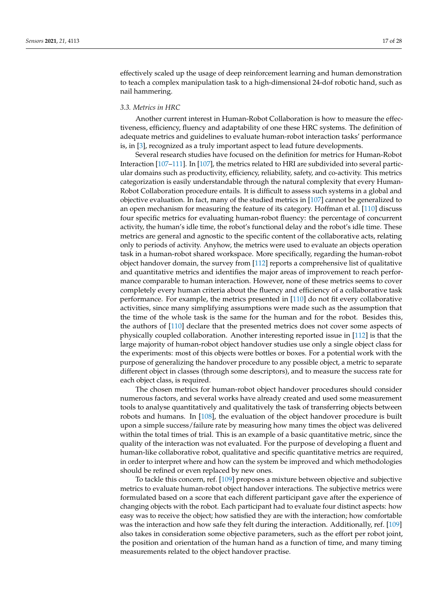effectively scaled up the usage of deep reinforcement learning and human demonstration to teach a complex manipulation task to a high-dimensional 24-dof robotic hand, such as nail hammering.

### *3.3. Metrics in HRC*

Another current interest in Human-Robot Collaboration is how to measure the effectiveness, efficiency, fluency and adaptability of one these HRC systems. The definition of adequate metrics and guidelines to evaluate human-robot interaction tasks' performance is, in [\[3\]](#page-21-2), recognized as a truly important aspect to lead future developments.

Several research studies have focused on the definition for metrics for Human-Robot Interaction [\[107–](#page-25-17)[111\]](#page-25-18). In [\[107\]](#page-25-17), the metrics related to HRI are subdivided into several particular domains such as productivity, efficiency, reliability, safety, and co-activity. This metrics categorization is easily understandable through the natural complexity that every Human-Robot Collaboration procedure entails. It is difficult to assess such systems in a global and objective evaluation. In fact, many of the studied metrics in [\[107\]](#page-25-17) cannot be generalized to an open mechanism for measuring the feature of its category. Hoffman et al. [\[110\]](#page-25-19) discuss four specific metrics for evaluating human-robot fluency: the percentage of concurrent activity, the human's idle time, the robot's functional delay and the robot's idle time. These metrics are general and agnostic to the specific content of the collaborative acts, relating only to periods of activity. Anyhow, the metrics were used to evaluate an objects operation task in a human-robot shared workspace. More specifically, regarding the human-robot object handover domain, the survey from [\[112\]](#page-25-20) reports a comprehensive list of qualitative and quantitative metrics and identifies the major areas of improvement to reach performance comparable to human interaction. However, none of these metrics seems to cover completely every human criteria about the fluency and efficiency of a collaborative task performance. For example, the metrics presented in [\[110\]](#page-25-19) do not fit every collaborative activities, since many simplifying assumptions were made such as the assumption that the time of the whole task is the same for the human and for the robot. Besides this, the authors of [\[110\]](#page-25-19) declare that the presented metrics does not cover some aspects of physically coupled collaboration. Another interesting reported issue in [\[112\]](#page-25-20) is that the large majority of human-robot object handover studies use only a single object class for the experiments: most of this objects were bottles or boxes. For a potential work with the purpose of generalizing the handover procedure to any possible object, a metric to separate different object in classes (through some descriptors), and to measure the success rate for each object class, is required.

The chosen metrics for human-robot object handover procedures should consider numerous factors, and several works have already created and used some measurement tools to analyse quantitatively and qualitatively the task of transferring objects between robots and humans. In [\[108\]](#page-25-21), the evaluation of the object handover procedure is built upon a simple success/failure rate by measuring how many times the object was delivered within the total times of trial. This is an example of a basic quantitative metric, since the quality of the interaction was not evaluated. For the purpose of developing a fluent and human-like collaborative robot, qualitative and specific quantitative metrics are required, in order to interpret where and how can the system be improved and which methodologies should be refined or even replaced by new ones.

To tackle this concern, ref. [\[109\]](#page-25-22) proposes a mixture between objective and subjective metrics to evaluate human-robot object handover interactions. The subjective metrics were formulated based on a score that each different participant gave after the experience of changing objects with the robot. Each participant had to evaluate four distinct aspects: how easy was to receive the object; how satisfied they are with the interaction; how comfortable was the interaction and how safe they felt during the interaction. Additionally, ref. [\[109\]](#page-25-22) also takes in consideration some objective parameters, such as the effort per robot joint, the position and orientation of the human hand as a function of time, and many timing measurements related to the object handover practise.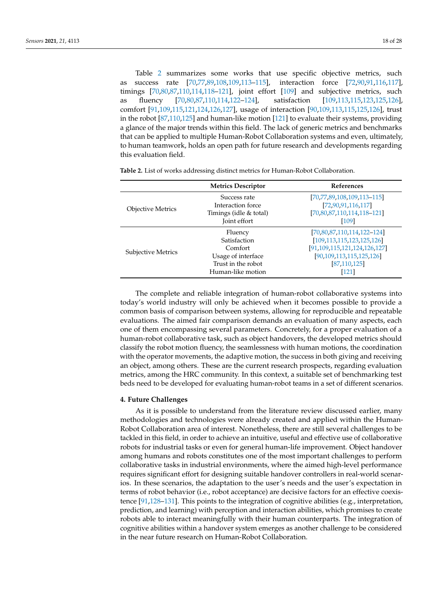as success rate [\[70](#page-24-4)[,77](#page-24-21)[,89](#page-25-0)[,108,](#page-25-21)[109,](#page-25-22)[113](#page-25-23)[–115\]](#page-25-24), interaction force [\[72,](#page-24-6)[90,](#page-25-1)[91,](#page-25-25)[116,](#page-26-0)[117\]](#page-26-1), timings [\[70](#page-24-4)[,80](#page-24-13)[,87](#page-24-20)[,110](#page-25-19)[,114](#page-25-26)[,118–](#page-26-2)[121\]](#page-26-3), joint effort [\[109\]](#page-25-22) and subjective metrics, such as fluency [\[70,](#page-24-4)[80,](#page-24-13)[87,](#page-24-20)[110,](#page-25-19)[114,](#page-25-26)[122–](#page-26-4)[124\]](#page-26-5), satisfaction [\[109,](#page-25-22)[113,](#page-25-23)[115,](#page-25-24)[123,](#page-26-6)[125,](#page-26-7)[126\]](#page-26-8), comfort [\[91](#page-25-25)[,109](#page-25-22)[,115](#page-25-24)[,121](#page-26-3)[,124](#page-26-5)[,126](#page-26-8)[,127\]](#page-26-9), usage of interaction [\[90,](#page-25-1)[109,](#page-25-22)[113,](#page-25-23)[115,](#page-25-24)[125,](#page-26-7)[126\]](#page-26-8), trust in the robot [\[87,](#page-24-20)[110,](#page-25-19)[125\]](#page-26-7) and human-like motion [\[121\]](#page-26-3) to evaluate their systems, providing a glance of the major trends within this field. The lack of generic metrics and benchmarks that can be applied to multiple Human-Robot Collaboration systems and even, ultimately, to human teamwork, holds an open path for future research and developments regarding this evaluation field.

|                           | <b>Metrics Descriptor</b>                                                   | <b>References</b>                                                                             |
|---------------------------|-----------------------------------------------------------------------------|-----------------------------------------------------------------------------------------------|
| <b>Objective Metrics</b>  | Success rate<br>Interaction force<br>Timings (idle & total)<br>Joint effort | [70,77,89,108,109,113-115]<br>[72, 90, 91, 116, 117]<br>$[70,80,87,110,114,118-121]$<br>[109] |
|                           | Fluency<br>Satisfaction                                                     | [70,80,87,110,114,122-124]                                                                    |
| <b>Subjective Metrics</b> | Comfort                                                                     | [109, 113, 115, 123, 125, 126]<br>[91, 109, 115, 121, 124, 126, 127]                          |
|                           | Usage of interface<br>Trust in the robot<br>Human-like motion               | [90, 109, 113, 115, 125, 126]<br>[87, 110, 125]<br>$[121]$                                    |

<span id="page-17-1"></span>**Table 2.** List of works addressing distinct metrics for Human-Robot Collaboration.

The complete and reliable integration of human-robot collaborative systems into today's world industry will only be achieved when it becomes possible to provide a common basis of comparison between systems, allowing for reproducible and repeatable evaluations. The aimed fair comparison demands an evaluation of many aspects, each one of them encompassing several parameters. Concretely, for a proper evaluation of a human-robot collaborative task, such as object handovers, the developed metrics should classify the robot motion fluency, the seamlessness with human motions, the coordination with the operator movements, the adaptive motion, the success in both giving and receiving an object, among others. These are the current research prospects, regarding evaluation metrics, among the HRC community. In this context, a suitable set of benchmarking test beds need to be developed for evaluating human-robot teams in a set of different scenarios.

#### <span id="page-17-0"></span>**4. Future Challenges**

As it is possible to understand from the literature review discussed earlier, many methodologies and technologies were already created and applied within the Human-Robot Collaboration area of interest. Nonetheless, there are still several challenges to be tackled in this field, in order to achieve an intuitive, useful and effective use of collaborative robots for industrial tasks or even for general human-life improvement. Object handover among humans and robots constitutes one of the most important challenges to perform collaborative tasks in industrial environments, where the aimed high-level performance requires significant effort for designing suitable handover controllers in real-world scenarios. In these scenarios, the adaptation to the user's needs and the user's expectation in terms of robot behavior (i.e., robot acceptance) are decisive factors for an effective coexistence [\[91,](#page-25-25)[128](#page-26-10)[–131\]](#page-26-11). This points to the integration of cognitive abilities (e.g., interpretation, prediction, and learning) with perception and interaction abilities, which promises to create robots able to interact meaningfully with their human counterparts. The integration of cognitive abilities within a handover system emerges as another challenge to be considered in the near future research on Human-Robot Collaboration.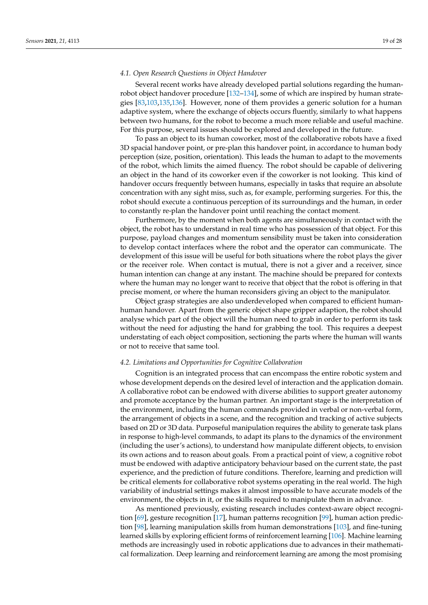#### *4.1. Open Research Questions in Object Handover*

Several recent works have already developed partial solutions regarding the humanrobot object handover procedure [\[132–](#page-26-12)[134\]](#page-26-13), some of which are inspired by human strategies [\[83,](#page-24-16)[103,](#page-25-12)[135,](#page-26-14)[136\]](#page-26-15). However, none of them provides a generic solution for a human adaptive system, where the exchange of objects occurs fluently, similarly to what happens between two humans, for the robot to become a much more reliable and useful machine. For this purpose, several issues should be explored and developed in the future.

To pass an object to its human coworker, most of the collaborative robots have a fixed 3D spacial handover point, or pre-plan this handover point, in accordance to human body perception (size, position, orientation). This leads the human to adapt to the movements of the robot, which limits the aimed fluency. The robot should be capable of delivering an object in the hand of its coworker even if the coworker is not looking. This kind of handover occurs frequently between humans, especially in tasks that require an absolute concentration with any sight miss, such as, for example, performing surgeries. For this, the robot should execute a continuous perception of its surroundings and the human, in order to constantly re-plan the handover point until reaching the contact moment.

Furthermore, by the moment when both agents are simultaneously in contact with the object, the robot has to understand in real time who has possession of that object. For this purpose, payload changes and momentum sensibility must be taken into consideration to develop contact interfaces where the robot and the operator can communicate. The development of this issue will be useful for both situations where the robot plays the giver or the receiver role. When contact is mutual, there is not a giver and a receiver, since human intention can change at any instant. The machine should be prepared for contexts where the human may no longer want to receive that object that the robot is offering in that precise moment, or where the human reconsiders giving an object to the manipulator.

Object grasp strategies are also underdeveloped when compared to efficient humanhuman handover. Apart from the generic object shape gripper adaption, the robot should analyse which part of the object will the human need to grab in order to perform its task without the need for adjusting the hand for grabbing the tool. This requires a deepest understating of each object composition, sectioning the parts where the human will wants or not to receive that same tool.

#### *4.2. Limitations and Opportunities for Cognitive Collaboration*

Cognition is an integrated process that can encompass the entire robotic system and whose development depends on the desired level of interaction and the application domain. A collaborative robot can be endowed with diverse abilities to support greater autonomy and promote acceptance by the human partner. An important stage is the interpretation of the environment, including the human commands provided in verbal or non-verbal form, the arrangement of objects in a scene, and the recognition and tracking of active subjects based on 2D or 3D data. Purposeful manipulation requires the ability to generate task plans in response to high-level commands, to adapt its plans to the dynamics of the environment (including the user's actions), to understand how manipulate different objects, to envision its own actions and to reason about goals. From a practical point of view, a cognitive robot must be endowed with adaptive anticipatory behaviour based on the current state, the past experience, and the prediction of future conditions. Therefore, learning and prediction will be critical elements for collaborative robot systems operating in the real world. The high variability of industrial settings makes it almost impossible to have accurate models of the environment, the objects in it, or the skills required to manipulate them in advance.

As mentioned previously, existing research includes context-aware object recognition [\[69\]](#page-24-3), gesture recognition [\[17\]](#page-22-13), human patterns recognition [\[99\]](#page-25-7), human action prediction [\[98\]](#page-25-6), learning manipulation skills from human demonstrations [\[103\]](#page-25-12), and fine-tuning learned skills by exploring efficient forms of reinforcement learning [\[106\]](#page-25-16). Machine learning methods are increasingly used in robotic applications due to advances in their mathematical formalization. Deep learning and reinforcement learning are among the most promising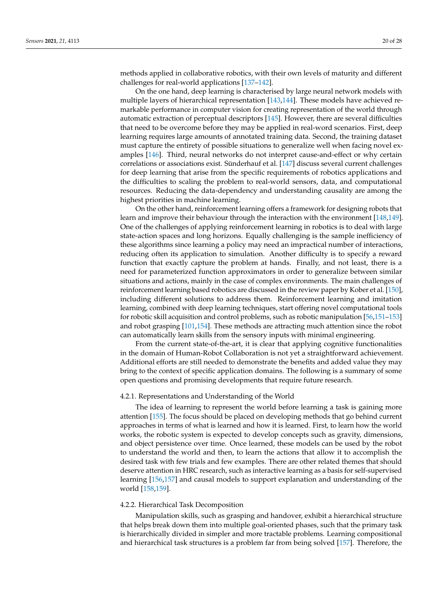methods applied in collaborative robotics, with their own levels of maturity and different challenges for real-world applications [\[137](#page-26-16)[–142\]](#page-27-0).

On the one hand, deep learning is characterised by large neural network models with multiple layers of hierarchical representation [\[143](#page-27-1)[,144\]](#page-27-2). These models have achieved remarkable performance in computer vision for creating representation of the world through automatic extraction of perceptual descriptors [\[145\]](#page-27-3). However, there are several difficulties that need to be overcome before they may be applied in real-word scenarios. First, deep learning requires large amounts of annotated training data. Second, the training dataset must capture the entirety of possible situations to generalize well when facing novel examples [\[146\]](#page-27-4). Third, neural networks do not interpret cause-and-effect or why certain correlations or associations exist. Sünderhauf et al. [\[147\]](#page-27-5) discuss several current challenges for deep learning that arise from the specific requirements of robotics applications and the difficulties to scaling the problem to real-world sensors, data, and computational resources. Reducing the data-dependency and understanding causality are among the highest priorities in machine learning.

On the other hand, reinforcement learning offers a framework for designing robots that learn and improve their behaviour through the interaction with the environment [\[148](#page-27-6)[,149\]](#page-27-7). One of the challenges of applying reinforcement learning in robotics is to deal with large state-action spaces and long horizons. Equally challenging is the sample inefficiency of these algorithms since learning a policy may need an impractical number of interactions, reducing often its application to simulation. Another difficulty is to specify a reward function that exactly capture the problem at hands. Finally, and not least, there is a need for parameterized function approximators in order to generalize between similar situations and actions, mainly in the case of complex environments. The main challenges of reinforcement learning based robotics are discussed in the review paper by Kober et al. [\[150\]](#page-27-8), including different solutions to address them. Reinforcement learning and imitation learning, combined with deep learning techniques, start offering novel computational tools for robotic skill acquisition and control problems, such as robotic manipulation [\[56](#page-23-10)[,151](#page-27-9)[–153\]](#page-27-10) and robot grasping [\[101](#page-25-9)[,154\]](#page-27-11). These methods are attracting much attention since the robot can automatically learn skills from the sensory inputs with minimal engineering.

From the current state-of-the-art, it is clear that applying cognitive functionalities in the domain of Human-Robot Collaboration is not yet a straightforward achievement. Additional efforts are still needed to demonstrate the benefits and added value they may bring to the context of specific application domains. The following is a summary of some open questions and promising developments that require future research.

#### 4.2.1. Representations and Understanding of the World

The idea of learning to represent the world before learning a task is gaining more attention [\[155\]](#page-27-12). The focus should be placed on developing methods that go behind current approaches in terms of what is learned and how it is learned. First, to learn how the world works, the robotic system is expected to develop concepts such as gravity, dimensions, and object persistence over time. Once learned, these models can be used by the robot to understand the world and then, to learn the actions that allow it to accomplish the desired task with few trials and few examples. There are other related themes that should deserve attention in HRC research, such as interactive learning as a basis for self-supervised learning [\[156,](#page-27-13)[157\]](#page-27-14) and causal models to support explanation and understanding of the world [\[158](#page-27-15)[,159\]](#page-27-16).

#### 4.2.2. Hierarchical Task Decomposition

Manipulation skills, such as grasping and handover, exhibit a hierarchical structure that helps break down them into multiple goal-oriented phases, such that the primary task is hierarchically divided in simpler and more tractable problems. Learning compositional and hierarchical task structures is a problem far from being solved [\[157\]](#page-27-14). Therefore, the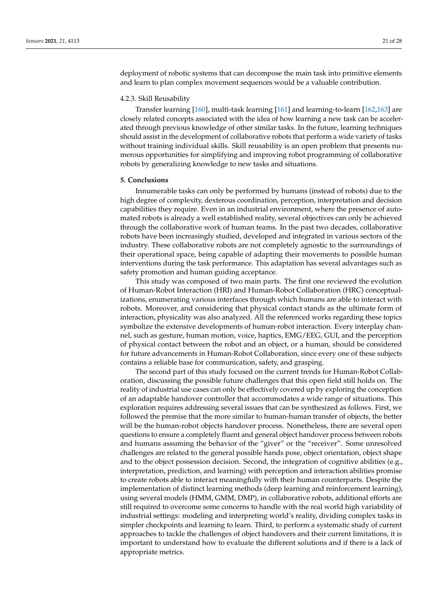deployment of robotic systems that can decompose the main task into primitive elements and learn to plan complex movement sequences would be a valuable contribution.

#### 4.2.3. Skill Reusability

Transfer learning [\[160\]](#page-27-17), multi-task learning [\[161\]](#page-27-18) and learning-to-learn [\[162,](#page-27-19)[163\]](#page-27-20) are closely related concepts associated with the idea of how learning a new task can be accelerated through previous knowledge of other similar tasks. In the future, learning techniques should assist in the development of collaborative robots that perform a wide variety of tasks without training individual skills. Skill reusability is an open problem that presents numerous opportunities for simplifying and improving robot programming of collaborative robots by generalizing knowledge to new tasks and situations.

#### <span id="page-20-0"></span>**5. Conclusions**

Innumerable tasks can only be performed by humans (instead of robots) due to the high degree of complexity, dexterous coordination, perception, interpretation and decision capabilities they require. Even in an industrial environment, where the presence of automated robots is already a well established reality, several objectives can only be achieved through the collaborative work of human teams. In the past two decades, collaborative robots have been increasingly studied, developed and integrated in various sectors of the industry. These collaborative robots are not completely agnostic to the surroundings of their operational space, being capable of adapting their movements to possible human interventions during the task performance. This adaptation has several advantages such as safety promotion and human guiding acceptance.

This study was composed of two main parts. The first one reviewed the evolution of Human-Robot Interaction (HRI) and Human-Robot Collaboration (HRC) conceptualizations, enumerating various interfaces through which humans are able to interact with robots. Moreover, and considering that physical contact stands as the ultimate form of interaction, physicality was also analyzed. All the referenced works regarding these topics symbolize the extensive developments of human-robot interaction. Every interplay channel, such as gesture, human motion, voice, haptics, EMG/EEG, GUI, and the perception of physical contact between the robot and an object, or a human, should be considered for future advancements in Human-Robot Collaboration, since every one of these subjects contains a reliable base for communication, safety, and grasping.

The second part of this study focused on the current trends for Human-Robot Collaboration, discussing the possible future challenges that this open field still holds on. The reality of industrial use cases can only be effectively covered up by exploring the conception of an adaptable handover controller that accommodates a wide range of situations. This exploration requires addressing several issues that can be synthesized as follows. First, we followed the premise that the more similar to human-human transfer of objects, the better will be the human-robot objects handover process. Nonetheless, there are several open questions to ensure a completely fluent and general object handover process between robots and humans assuming the behavior of the "giver" or the "receiver". Some unresolved challenges are related to the general possible hands pose, object orientation, object shape and to the object possession decision. Second, the integration of cognitive abilities (e.g., interpretation, prediction, and learning) with perception and interaction abilities promise to create robots able to interact meaningfully with their human counterparts. Despite the implementation of distinct learning methods (deep learning and reinforcement learning), using several models (HMM, GMM, DMP), in collaborative robots, additional efforts are still required to overcome some concerns to handle with the real world high variability of industrial settings: modeling and interpreting world's reality, dividing complex tasks in simpler checkpoints and learning to learn. Third, to perform a systematic study of current approaches to tackle the challenges of object handovers and their current limitations, it is important to understand how to evaluate the different solutions and if there is a lack of appropriate metrics.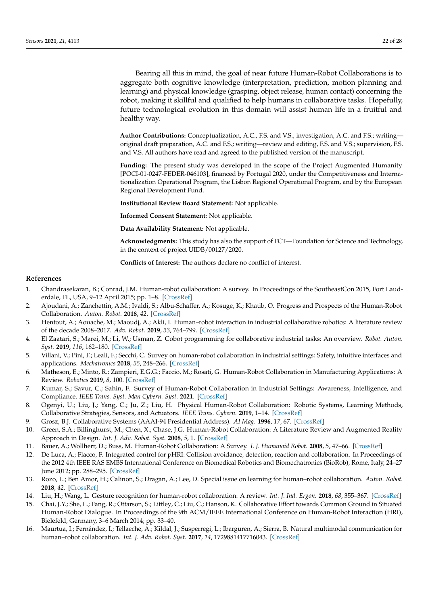Bearing all this in mind, the goal of near future Human-Robot Collaborations is to aggregate both cognitive knowledge (interpretation, prediction, motion planning and learning) and physical knowledge (grasping, object release, human contact) concerning the robot, making it skillful and qualified to help humans in collaborative tasks. Hopefully, future technological evolution in this domain will assist human life in a fruitful and healthy way.

**Author Contributions:** Conceptualization, A.C., F.S. and V.S.; investigation, A.C. and F.S.; writing original draft preparation, A.C. and F.S.; writing—review and editing, F.S. and V.S.; supervision, F.S. and V.S. All authors have read and agreed to the published version of the manuscript.

**Funding:** The present study was developed in the scope of the Project Augmented Humanity [POCI-01-0247-FEDER-046103], financed by Portugal 2020, under the Competitiveness and Internationalization Operational Program, the Lisbon Regional Operational Program, and by the European Regional Development Fund.

**Institutional Review Board Statement:** Not applicable.

**Informed Consent Statement:** Not applicable.

**Data Availability Statement:** Not applicable.

**Acknowledgments:** This study has also the support of FCT—Foundation for Science and Technology, in the context of project UIDB/00127/2020.

**Conflicts of Interest:** The authors declare no conflict of interest.

#### **References**

- <span id="page-21-0"></span>1. Chandrasekaran, B.; Conrad, J.M. Human-robot collaboration: A survey. In Proceedings of the SoutheastCon 2015, Fort Lauderdale, FL, USA, 9–12 April 2015; pp. 1–8. [\[CrossRef\]](http://doi.org/10.1109/SECON.2015.7132964)
- <span id="page-21-1"></span>2. Ajoudani, A.; Zanchettin, A.M.; Ivaldi, S.; Albu-Schäffer, A.; Kosuge, K.; Khatib, O. Progress and Prospects of the Human-Robot Collaboration. *Auton. Robot.* **2018**, *42*. [\[CrossRef\]](http://dx.doi.org/10.1007/s10514-017-9677-2)
- <span id="page-21-2"></span>3. Hentout, A.; Aouache, M.; Maoudj, A.; Akli, I. Human–robot interaction in industrial collaborative robotics: A literature review of the decade 2008–2017. *Adv. Robot.* **2019**, *33*, 764–799. [\[CrossRef\]](http://dx.doi.org/10.1080/01691864.2019.1636714)
- <span id="page-21-3"></span>4. El Zaatari, S.; Marei, M.; Li, W.; Usman, Z. Cobot programming for collaborative industrial tasks: An overview. *Robot. Auton. Syst.* **2019**, *116*, 162–180. [\[CrossRef\]](http://dx.doi.org/10.1016/j.robot.2019.03.003)
- <span id="page-21-4"></span>5. Villani, V.; Pini, F.; Leali, F.; Secchi, C. Survey on human-robot collaboration in industrial settings: Safety, intuitive interfaces and applications. *Mechatronics* **2018**, *55*, 248–266. [\[CrossRef\]](http://dx.doi.org/10.1016/j.mechatronics.2018.02.009)
- <span id="page-21-5"></span>6. Matheson, E.; Minto, R.; Zampieri, E.G.G.; Faccio, M.; Rosati, G. Human-Robot Collaboration in Manufacturing Applications: A Review. *Robotics* **2019**, *8*, 100. [\[CrossRef\]](http://dx.doi.org/10.3390/robotics8040100)
- <span id="page-21-6"></span>7. Kumar, S.; Savur, C.; Sahin, F. Survey of Human-Robot Collaboration in Industrial Settings: Awareness, Intelligence, and Compliance. *IEEE Trans. Syst. Man Cybern. Syst.* **2021**. [\[CrossRef\]](http://dx.doi.org/10.1109/TSMC.2020.3041231)
- <span id="page-21-7"></span>8. Ogenyi, U.; Liu, J.; Yang, C.; Ju, Z.; Liu, H. Physical Human-Robot Collaboration: Robotic Systems, Learning Methods, Collaborative Strategies, Sensors, and Actuators. *IEEE Trans. Cybern.* **2019**, 1–14. [\[CrossRef\]](http://dx.doi.org/10.1109/TCYB.2019.2947532)
- <span id="page-21-8"></span>9. Grosz, B.J. Collaborative Systems (AAAI-94 Presidential Address). *AI Mag.* **1996**, *17*, 67. [\[CrossRef\]](http://dx.doi.org/10.1609/aimag.v17i2.1223)
- <span id="page-21-9"></span>10. Green, S.A.; Billinghurst, M.; Chen, X.; Chase, J.G. Human-Robot Collaboration: A Literature Review and Augmented Reality Approach in Design. *Int. J. Adv. Robot. Syst.* **2008**, *5*, 1. [\[CrossRef\]](http://dx.doi.org/10.5772/5664)
- <span id="page-21-10"></span>11. Bauer, A.; Wollherr, D.; Buss, M. Human-Robot Collaboration: A Survey. *I. J. Humanoid Robot.* **2008**, *5*, 47–66. [\[CrossRef\]](http://dx.doi.org/10.1142/S0219843608001303)
- <span id="page-21-11"></span>12. De Luca, A.; Flacco, F. Integrated control for pHRI: Collision avoidance, detection, reaction and collaboration. In Proceedings of the 2012 4th IEEE RAS EMBS International Conference on Biomedical Robotics and Biomechatronics (BioRob), Rome, Italy, 24–27 June 2012; pp. 288–295. [\[CrossRef\]](http://dx.doi.org/10.1109/BioRob.2012.6290917)
- <span id="page-21-12"></span>13. Rozo, L.; Ben Amor, H.; Calinon, S.; Dragan, A.; Lee, D. Special issue on learning for human–robot collaboration. *Auton. Robot.* **2018**, *42*. [\[CrossRef\]](http://dx.doi.org/10.1007/s10514-018-9756-z)
- <span id="page-21-13"></span>14. Liu, H.; Wang, L. Gesture recognition for human-robot collaboration: A review. *Int. J. Ind. Ergon.* **2018**, *68*, 355–367. [\[CrossRef\]](http://dx.doi.org/10.1016/j.ergon.2017.02.004)
- <span id="page-21-14"></span>15. Chai, J.Y.; She, L.; Fang, R.; Ottarson, S.; Littley, C.; Liu, C.; Hanson, K. Collaborative Effort towards Common Ground in Situated Human-Robot Dialogue. In Proceedings of the 9th ACM/IEEE International Conference on Human-Robot Interaction (HRI), Bielefeld, Germany, 3–6 March 2014; pp. 33–40.
- <span id="page-21-15"></span>16. Maurtua, I.; Fernández, I.; Tellaeche, A.; Kildal, J.; Susperregi, L.; Ibarguren, A.; Sierra, B. Natural multimodal communication for human–robot collaboration. *Int. J. Adv. Robot. Syst.* **2017**, *14*, 1729881417716043. [\[CrossRef\]](http://dx.doi.org/10.1177/1729881417716043)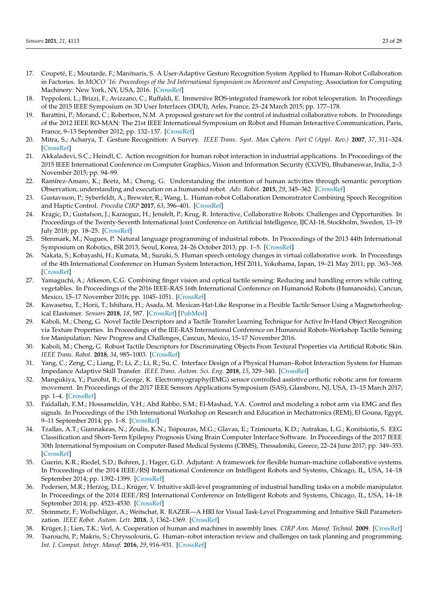- <span id="page-22-13"></span>17. Coupeté, E.; Moutarde, F.; Manitsaris, S. A User-Adaptive Gesture Recognition System Applied to Human-Robot Collaboration in Factories. In *MOCO '16: Proceedings of the 3rd International Symposium on Movement and Computing*; Association for Computing Machinery: New York, NY, USA, 2016. [\[CrossRef\]](http://dx.doi.org/10.1145/2948910.2948933)
- 18. Peppoloni, L.; Brizzi, F.; Avizzano, C.; Ruffaldi, E. Immersive ROS-integrated framework for robot teleoperation. In Proceedings of the 2015 IEEE Symposium on 3D User Interfaces (3DUI), Arles, France, 23–24 March 2015; pp. 177–178.
- 19. Barattini, P.; Morand, C.; Robertson, N.M. A proposed gesture set for the control of industrial collaborative robots. In Proceedings of the 2012 IEEE RO-MAN: The 21st IEEE International Symposium on Robot and Human Interactive Communication, Paris, France, 9–13 September 2012; pp. 132–137. [\[CrossRef\]](http://dx.doi.org/10.1109/ROMAN.2012.6343743)
- <span id="page-22-0"></span>20. Mitra, S.; Acharya, T. Gesture Recognition: A Survey. *IEEE Trans. Syst. Man Cybern. Part C (Appl. Rev.)* **2007**, *37*, 311–324. [\[CrossRef\]](http://dx.doi.org/10.1109/TSMCC.2007.893280)
- <span id="page-22-1"></span>21. Akkaladevi, S.C.; Heindl, C. Action recognition for human robot interaction in industrial applications. In Proceedings of the 2015 IEEE International Conference on Computer Graphics, Vision and Information Security (CGVIS), Bhubaneswar, India, 2–3 November 2015; pp. 94–99.
- <span id="page-22-2"></span>22. Ramírez-Amaro, K.; Beetz, M.; Cheng, G. Understanding the intention of human activities through semantic perception: Observation, understanding and execution on a humanoid robot. *Adv. Robot.* **2015**, *29*, 345–362. [\[CrossRef\]](http://dx.doi.org/10.1080/01691864.2014.1003096)
- <span id="page-22-3"></span>23. Gustavsson, P.; Syberfeldt, A.; Brewster, R.; Wang, L. Human-robot Collaboration Demonstrator Combining Speech Recognition and Haptic Control. *Procedia CIRP* **2017**, *63*, 396–401. [\[CrossRef\]](http://dx.doi.org/10.1016/j.procir.2017.03.126)
- <span id="page-22-12"></span>24. Kragic, D.; Gustafson, J.; Karaoguz, H.; Jensfelt, P.; Krug, R. Interactive, Collaborative Robots: Challenges and Opportunities. In Proceedings of the Twenty-Seventh International Joint Conference on Artificial Intelligence, IJCAI-18, Stockholm, Sweden, 13–19 July 2018; pp. 18–25. [\[CrossRef\]](http://dx.doi.org/10.24963/ijcai.2018/3)
- 25. Stenmark, M.; Nugues, P. Natural language programming of industrial robots. In Proceedings of the 2013 44th International Symposium on Robotics, ISR 2013, Seoul, Korea, 24–26 October 2013; pp. 1–5. [\[CrossRef\]](http://dx.doi.org/10.1109/ISR.2013.6695630)
- <span id="page-22-4"></span>26. Nakata, S.; Kobayashi, H.; Kumata, M.; Suzuki, S. Human speech ontology changes in virtual collaborative work. In Proceedings of the 4th International Conference on Human System Interaction, HSI 2011, Yokohama, Japan, 19–21 May 2011; pp. 363–368. [\[CrossRef\]](http://dx.doi.org/10.1109/HSI.2011.5937393)
- <span id="page-22-5"></span>27. Yamaguchi, A.; Atkeson, C.G. Combining finger vision and optical tactile sensing: Reducing and handling errors while cutting vegetables. In Proceedings of the 2016 IEEE-RAS 16th International Conference on Humanoid Robots (Humanoids), Cancun, Mexico, 15–17 November 2016; pp. 1045–1051. [\[CrossRef\]](http://dx.doi.org/10.1109/HUMANOIDS.2016.7803400)
- 28. Kawasetsu, T.; Horii, T.; Ishihara, H.; Asada, M. Mexican-Hat-Like Response in a Flexible Tactile Sensor Using a Magnetorheological Elastomer. *Sensors* **2018**, *18*, 587. [\[CrossRef\]](http://dx.doi.org/10.3390/s18020587) [\[PubMed\]](http://www.ncbi.nlm.nih.gov/pubmed/29443916)
- 29. Kaboli, M.; Cheng, G. Novel Tactile Descriptors and a Tactile Transfer Learning Technique for Active In-Hand Object Recognition via Texture Properties. In Proceedings of the IEE-RAS International Conference on Humanoid Robots-Workshop Tactile Sensing for Manipulation: New Progress and Challenges, Cancun, Mexico, 15–17 November 2016.
- <span id="page-22-6"></span>30. Kaboli, M.; Cheng, G. Robust Tactile Descriptors for Discriminating Objects From Textural Properties via Artificial Robotic Skin. *IEEE Trans. Robot.* **2018**, *34*, 985–1003. [\[CrossRef\]](http://dx.doi.org/10.1109/TRO.2018.2830364)
- <span id="page-22-7"></span>31. Yang, C.; Zeng, C.; Liang, P.; Li, Z.; Li, R.; Su, C. Interface Design of a Physical Human–Robot Interaction System for Human Impedance Adaptive Skill Transfer. *IEEE Trans. Autom. Sci. Eng.* **2018**, *15*, 329–340. [\[CrossRef\]](http://dx.doi.org/10.1109/TASE.2017.2743000)
- 32. Mangukiya, Y.; Purohit, B.; George, K. Electromyography(EMG) sensor controlled assistive orthotic robotic arm for forearm movement. In Proceedings of the 2017 IEEE Sensors Applications Symposium (SAS), Glassboro, NJ, USA, 13–15 March 2017; pp. 1–4. [\[CrossRef\]](http://dx.doi.org/10.1109/SAS.2017.7894065)
- 33. Faidallah, E.M.; Hossameldin, Y.H.; Abd Rabbo, S.M.; El-Mashad, Y.A. Control and modeling a robot arm via EMG and flex signals. In Proceedings of the 15th International Workshop on Research and Education in Mechatronics (REM), El Gouna, Egypt, 9–11 September 2014; pp. 1–8. [\[CrossRef\]](http://dx.doi.org/10.1109/REM.2014.6920226)
- <span id="page-22-8"></span>34. Tzallas, A.T.; Giannakeas, N.; Zoulis, K.N.; Tsipouras, M.G.; Glavas, E.; Tzimourta, K.D.; Astrakas, L.G.; Konitsiotis, S. EEG Classification and Short-Term Epilepsy Prognosis Using Brain Computer Interface Software. In Proceedings of the 2017 IEEE 30th International Symposium on Computer-Based Medical Systems (CBMS), Thessaloniki, Greece, 22–24 June 2017; pp. 349–353. [\[CrossRef\]](http://dx.doi.org/10.1109/CBMS.2017.97)
- <span id="page-22-9"></span>35. Guerin, K.R.; Riedel, S.D.; Bohren, J.; Hager, G.D. Adjutant: A framework for flexible human-machine collaborative systems. In Proceedings of the 2014 IEEE/RSJ International Conference on Intelligent Robots and Systems, Chicago, IL, USA, 14–18 September 2014; pp. 1392–1399. [\[CrossRef\]](http://dx.doi.org/10.1109/IROS.2014.6942739)
- 36. Pedersen, M.R.; Herzog, D.L.; Krüger, V. Intuitive skill-level programming of industrial handling tasks on a mobile manipulator. In Proceedings of the 2014 IEEE/RSJ International Conference on Intelligent Robots and Systems, Chicago, IL, USA, 14–18 September 2014; pp. 4523–4530. [\[CrossRef\]](http://dx.doi.org/10.1109/IROS.2014.6943203)
- <span id="page-22-10"></span>37. Steinmetz, F.; Wollschläger, A.; Weitschat, R. RAZER—A HRI for Visual Task-Level Programming and Intuitive Skill Parameterization. *IEEE Robot. Autom. Lett.* **2018**, *3*, 1362–1369. [\[CrossRef\]](http://dx.doi.org/10.1109/LRA.2018.2798300)
- <span id="page-22-11"></span>38. Krüger, J.; Lien, T.K.; Verl, A. Cooperation of human and machines in assembly lines. *CIRP Ann. Manuf. Technol.* **2009**. [\[CrossRef\]](http://dx.doi.org/10.1016/j.cirp.2009.09.009)
- 39. Tsarouchi, P.; Makris, S.; Chryssolouris, G. Human–robot interaction review and challenges on task planning and programming. *Int. J. Comput. Integr. Manuf.* **2016**, *29*, 916–931. [\[CrossRef\]](http://dx.doi.org/10.1080/0951192X.2015.1130251)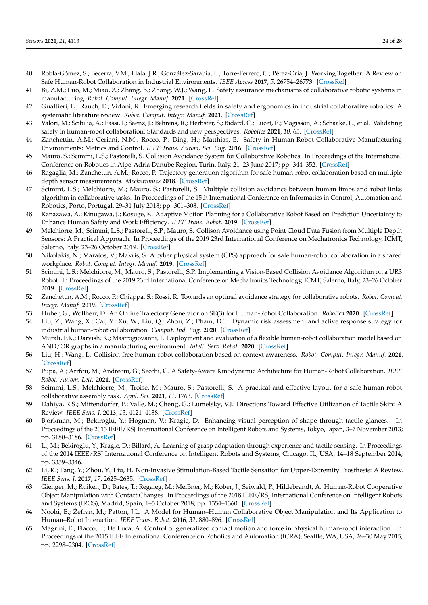- 40. Robla-Gómez, S.; Becerra, V.M.; Llata, J.R.; González-Sarabia, E.; Torre-Ferrero, C.; Pérez-Oria, J. Working Together: A Review on Safe Human-Robot Collaboration in Industrial Environments. *IEEE Access* **2017**, *5*, 26754–26773. [\[CrossRef\]](http://dx.doi.org/10.1109/ACCESS.2017.2773127)
- 41. Bi, Z.M.; Luo, M.; Miao, Z.; Zhang, B.; Zhang, W.J.; Wang, L. Safety assurance mechanisms of collaborative robotic systems in manufacturing. *Robot. Comput. Integr. Manuf.* **2021**. [\[CrossRef\]](http://dx.doi.org/10.1016/j.rcim.2020.102022)
- 42. Gualtieri, L.; Rauch, E.; Vidoni, R. Emerging research fields in safety and ergonomics in industrial collaborative robotics: A systematic literature review. *Robot. Comput. Integr. Manuf.* **2021**. [\[CrossRef\]](http://dx.doi.org/10.1016/j.rcim.2020.101998)
- <span id="page-23-0"></span>43. Valori, M.; Scibilia, A.; Fassi, I.; Saenz, J.; Behrens, R.; Herbster, S.; Bidard, C.; Lucet, E.; Magisson, A.; Schaake, L.; et al. Validating safety in human-robot collaboration: Standards and new perspectives. *Robotics* **2021**, *10*, 65. [\[CrossRef\]](http://dx.doi.org/10.3390/robotics10020065)
- <span id="page-23-1"></span>44. Zanchettin, A.M.; Ceriani, N.M.; Rocco, P.; Ding, H.; Matthias, B. Safety in Human-Robot Collaborative Manufacturing Environments: Metrics and Control. *IEEE Trans. Autom. Sci. Eng.* **2016**. [\[CrossRef\]](http://dx.doi.org/10.1109/TASE.2015.2412256)
- 45. Mauro, S.; Scimmi, L.S.; Pastorelli, S. Collision Avoidance System for Collaborative Robotics. In Proceedings of the International Conference on Robotics in Alpe-Adria Danube Region, Turin, Italy, 21–23 June 2017; pp. 344–352. [\[CrossRef\]](http://dx.doi.org/10.1007/978-3-319-61276-8_38)
- 46. Ragaglia, M.; Zanchettin, A.M.; Rocco, P. Trajectory generation algorithm for safe human-robot collaboration based on multiple depth sensor measurements. *Mechatronics* **2018**. [\[CrossRef\]](http://dx.doi.org/10.1016/j.mechatronics.2017.12.009)
- 47. Scimmi, L.S.; Melchiorre, M.; Mauro, S.; Pastorelli, S. Multiple collision avoidance between human limbs and robot links algorithm in collaborative tasks. In Proceedings of the 15th International Conference on Informatics in Control, Automation and Robotics, Porto, Portugal, 29–31 July 2018; pp. 301–308. [\[CrossRef\]](http://dx.doi.org/10.5220/0006852202910298)
- 48. Kanazawa, A.; Kinugawa, J.; Kosuge, K. Adaptive Motion Planning for a Collaborative Robot Based on Prediction Uncertainty to Enhance Human Safety and Work Efficiency. *IEEE Trans. Robot.* **2019**. [\[CrossRef\]](http://dx.doi.org/10.1109/TRO.2019.2911800)
- 49. Melchiorre, M.; Scimmi, L.S.; Pastorelli, S.P.; Mauro, S. Collison Avoidance using Point Cloud Data Fusion from Multiple Depth Sensors: A Practical Approach. In Proceedings of the 2019 23rd International Conference on Mechatronics Technology, ICMT, Salerno, Italy, 23–26 October 2019. [\[CrossRef\]](http://dx.doi.org/10.1109/ICMECT.2019.8932143)
- 50. Nikolakis, N.; Maratos, V.; Makris, S. A cyber physical system (CPS) approach for safe human-robot collaboration in a shared workplace. *Robot. Comput. Integr. Manuf.* **2019**. [\[CrossRef\]](http://dx.doi.org/10.1016/j.rcim.2018.10.003)
- 51. Scimmi, L.S.; Melchiorre, M.; Mauro, S.; Pastorelli, S.P. Implementing a Vision-Based Collision Avoidance Algorithm on a UR3 Robot. In Proceedings of the 2019 23rd International Conference on Mechatronics Technology, ICMT, Salerno, Italy, 23–26 October 2019. [\[CrossRef\]](http://dx.doi.org/10.1109/ICMECT.2019.8932105)
- 52. Zanchettin, A.M.; Rocco, P.; Chiappa, S.; Rossi, R. Towards an optimal avoidance strategy for collaborative robots. *Robot. Comput. Integr. Manuf.* **2019**. [\[CrossRef\]](http://dx.doi.org/10.1016/j.rcim.2019.01.015)
- 53. Huber, G.; Wollherr, D. An Online Trajectory Generator on SE(3) for Human-Robot Collaboration. *Robotica* **2020**. [\[CrossRef\]](http://dx.doi.org/10.1017/S0263574719001619)
- 54. Liu, Z.; Wang, X.; Cai, Y.; Xu, W.; Liu, Q.; Zhou, Z.; Pham, D.T. Dynamic risk assessment and active response strategy for industrial human-robot collaboration. *Comput. Ind. Eng.* **2020**. [\[CrossRef\]](http://dx.doi.org/10.1016/j.cie.2020.106302)
- 55. Murali, P.K.; Darvish, K.; Mastrogiovanni, F. Deployment and evaluation of a flexible human-robot collaboration model based on AND/OR graphs in a manufacturing environment. *Intell. Serv. Robot.* **2020**. [\[CrossRef\]](http://dx.doi.org/10.1007/s11370-020-00332-9)
- <span id="page-23-10"></span>56. Liu, H.; Wang, L. Collision-free human-robot collaboration based on context awareness. *Robot. Comput. Integr. Manuf.* **2021**. [\[CrossRef\]](http://dx.doi.org/10.1016/j.rcim.2020.101997)
- 57. Pupa, A.; Arrfou, M.; Andreoni, G.; Secchi, C. A Safety-Aware Kinodynamic Architecture for Human-Robot Collaboration. *IEEE Robot. Autom. Lett.* **2021**. [\[CrossRef\]](http://dx.doi.org/10.1109/LRA.2021.3068634)
- <span id="page-23-2"></span>58. Scimmi, L.S.; Melchiorre, M.; Troise, M.; Mauro, S.; Pastorelli, S. A practical and effective layout for a safe human-robot collaborative assembly task. *Appl. Sci.* **2021**, *11*, 1763. [\[CrossRef\]](http://dx.doi.org/10.3390/app11041763)
- <span id="page-23-3"></span>59. Dahiya, R.S.; Mittendorfer, P.; Valle, M.; Cheng, G.; Lumelsky, V.J. Directions Toward Effective Utilization of Tactile Skin: A Review. *IEEE Sens. J.* **2013**, *13*, 4121–4138. [\[CrossRef\]](http://dx.doi.org/10.1109/JSEN.2013.2279056)
- <span id="page-23-4"></span>60. Björkman, M.; Bekiroglu, Y.; Högman, V.; Kragic, D. Enhancing visual perception of shape through tactile glances. In Proceedings of the 2013 IEEE/RSJ International Conference on Intelligent Robots and Systems, Tokyo, Japan, 3–7 November 2013; pp. 3180–3186. [\[CrossRef\]](http://dx.doi.org/10.1109/IROS.2013.6696808)
- <span id="page-23-5"></span>61. Li, M.; Bekiroglu, Y.; Kragic, D.; Billard, A. Learning of grasp adaptation through experience and tactile sensing. In Proceedings of the 2014 IEEE/RSJ International Conference on Intelligent Robots and Systems, Chicago, IL, USA, 14–18 September 2014; pp. 3339–3346.
- <span id="page-23-6"></span>62. Li, K.; Fang, Y.; Zhou, Y.; Liu, H. Non-Invasive Stimulation-Based Tactile Sensation for Upper-Extremity Prosthesis: A Review. *IEEE Sens. J.* **2017**, *17*, 2625–2635. [\[CrossRef\]](http://dx.doi.org/10.1109/JSEN.2017.2674965)
- <span id="page-23-7"></span>63. Gienger, M.; Ruiken, D.; Bates, T.; Regaieg, M.; MeiBner, M.; Kober, J.; Seiwald, P.; Hildebrandt, A. Human-Robot Cooperative Object Manipulation with Contact Changes. In Proceedings of the 2018 IEEE/RSJ International Conference on Intelligent Robots and Systems (IROS), Madrid, Spain, 1–5 October 2018; pp. 1354–1360. [\[CrossRef\]](http://dx.doi.org/10.1109/IROS.2018.8594140)
- <span id="page-23-8"></span>64. Noohi, E.; Žefran, M.; Patton, J.L. A Model for Human–Human Collaborative Object Manipulation and Its Application to Human–Robot Interaction. *IEEE Trans. Robot.* **2016**, *32*, 880–896. [\[CrossRef\]](http://dx.doi.org/10.1109/TRO.2016.2572698)
- <span id="page-23-9"></span>65. Magrini, E.; Flacco, F.; De Luca, A. Control of generalized contact motion and force in physical human-robot interaction. In Proceedings of the 2015 IEEE International Conference on Robotics and Automation (ICRA), Seattle, WA, USA, 26–30 May 2015; pp. 2298–2304. [\[CrossRef\]](http://dx.doi.org/10.1109/ICRA.2015.7139504)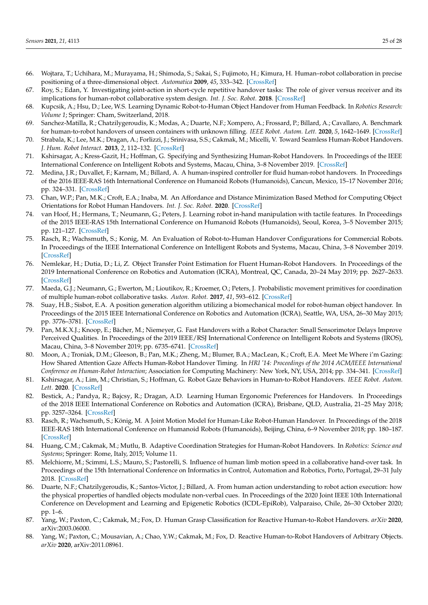- <span id="page-24-0"></span>66. Wojtara, T.; Uchihara, M.; Murayama, H.; Shimoda, S.; Sakai, S.; Fujimoto, H.; Kimura, H. Human–robot collaboration in precise positioning of a three-dimensional object. *Automatica* **2009**, *45*, 333–342. [\[CrossRef\]](http://dx.doi.org/10.1016/j.automatica.2008.08.021)
- <span id="page-24-1"></span>67. Roy, S.; Edan, Y. Investigating joint-action in short-cycle repetitive handover tasks: The role of giver versus receiver and its implications for human-robot collaborative system design. *Int. J. Soc. Robot.* **2018**. [\[CrossRef\]](http://dx.doi.org/10.1007/s12369-017-0424-9)
- <span id="page-24-2"></span>68. Kupcsik, A.; Hsu, D.; Lee, W.S. Learning Dynamic Robot-to-Human Object Handover from Human Feedback. In *Robotics Research: Volume 1*; Springer: Cham, Switzerland, 2018.
- <span id="page-24-3"></span>69. Sanchez-Matilla, R.; Chatzilygeroudis, K.; Modas, A.; Duarte, N.F.; Xompero, A.; Frossard, P.; Billard, A.; Cavallaro, A. Benchmark for human-to-robot handovers of unseen containers with unknown filling. *IEEE Robot. Autom. Lett.* **2020**, *5*, 1642–1649. [\[CrossRef\]](http://dx.doi.org/10.1109/LRA.2020.2969200)
- <span id="page-24-4"></span>70. Strabala, K.; Lee, M.K.; Dragan, A.; Forlizzi, J.; Srinivasa, S.S.; Cakmak, M.; Micelli, V. Toward Seamless Human-Robot Handovers. *J. Hum. Robot Interact.* **2013**, *2*, 112–132. [\[CrossRef\]](http://dx.doi.org/10.5898/JHRI.2.1.Strabala)
- <span id="page-24-5"></span>71. Kshirsagar, A.; Kress-Gazit, H.; Hoffman, G. Specifying and Synthesizing Human-Robot Handovers. In Proceedings of the IEEE International Conference on Intelligent Robots and Systems, Macau, China, 3–8 November 2019. [\[CrossRef\]](http://dx.doi.org/10.1109/IROS40897.2019.8967709)
- <span id="page-24-6"></span>72. Medina, J.R.; Duvallet, F.; Karnam, M.; Billard, A. A human-inspired controller for fluid human-robot handovers. In Proceedings of the 2016 IEEE-RAS 16th International Conference on Humanoid Robots (Humanoids), Cancun, Mexico, 15–17 November 2016; pp. 324–331. [\[CrossRef\]](http://dx.doi.org/10.1109/HUMANOIDS.2016.7803296)
- <span id="page-24-7"></span>73. Chan, W.P.; Pan, M.K.; Croft, E.A.; Inaba, M. An Affordance and Distance Minimization Based Method for Computing Object Orientations for Robot Human Handovers. *Int. J. Soc. Robot.* **2020**. [\[CrossRef\]](http://dx.doi.org/10.1007/s12369-019-00546-7)
- <span id="page-24-8"></span>74. van Hoof, H.; Hermans, T.; Neumann, G.; Peters, J. Learning robot in-hand manipulation with tactile features. In Proceedings of the 2015 IEEE-RAS 15th International Conference on Humanoid Robots (Humanoids), Seoul, Korea, 3–5 November 2015; pp. 121–127. [\[CrossRef\]](http://dx.doi.org/10.1109/HUMANOIDS.2015.7363524)
- <span id="page-24-9"></span>75. Rasch, R.; Wachsmuth, S.; Konig, M. An Evaluation of Robot-to-Human Handover Configurations for Commercial Robots. In Proceedings of the IEEE International Conference on Intelligent Robots and Systems, Macau, China, 3–8 November 2019. [\[CrossRef\]](http://dx.doi.org/10.1109/IROS40897.2019.8967882)
- <span id="page-24-10"></span>76. Nemlekar, H.; Dutia, D.; Li, Z. Object Transfer Point Estimation for Fluent Human-Robot Handovers. In Proceedings of the 2019 International Conference on Robotics and Automation (ICRA), Montreal, QC, Canada, 20–24 May 2019; pp. 2627–2633. [\[CrossRef\]](http://dx.doi.org/10.1109/ICRA.2019.8794008)
- <span id="page-24-21"></span>77. Maeda, G.J.; Neumann, G.; Ewerton, M.; Lioutikov, R.; Kroemer, O.; Peters, J. Probabilistic movement primitives for coordination of multiple human-robot collaborative tasks. *Auton. Robot.* **2017**, *41*, 593–612. [\[CrossRef\]](http://dx.doi.org/10.1007/s10514-016-9556-2)
- <span id="page-24-11"></span>78. Suay, H.B.; Sisbot, E.A. A position generation algorithm utilizing a biomechanical model for robot-human object handover. In Proceedings of the 2015 IEEE International Conference on Robotics and Automation (ICRA), Seattle, WA, USA, 26–30 May 2015; pp. 3776–3781. [\[CrossRef\]](http://dx.doi.org/10.1109/ICRA.2015.7139724)
- <span id="page-24-12"></span>79. Pan, M.K.X.J.; Knoop, E.; Bächer, M.; Niemeyer, G. Fast Handovers with a Robot Character: Small Sensorimotor Delays Improve Perceived Qualities. In Proceedings of the 2019 IEEE/RSJ International Conference on Intelligent Robots and Systems (IROS), Macau, China, 3–8 November 2019; pp. 6735–6741. [\[CrossRef\]](http://dx.doi.org/10.1109/IROS40897.2019.8967614)
- <span id="page-24-13"></span>80. Moon, A.; Troniak, D.M.; Gleeson, B.; Pan, M.K.; Zheng, M.; Blumer, B.A.; MacLean, K.; Croft, E.A. Meet Me Where i'm Gazing: How Shared Attention Gaze Affects Human-Robot Handover Timing. In *HRI '14: Proceedings of the 2014 ACM/IEEE International Conference on Human-Robot Interaction*; Association for Computing Machinery: New York, NY, USA, 2014; pp. 334–341. [\[CrossRef\]](http://dx.doi.org/10.1145/2559636.2559656)
- <span id="page-24-14"></span>81. Kshirsagar, A.; Lim, M.; Christian, S.; Hoffman, G. Robot Gaze Behaviors in Human-to-Robot Handovers. *IEEE Robot. Autom. Lett.* **2020**. [\[CrossRef\]](http://dx.doi.org/10.1109/LRA.2020.3015692)
- <span id="page-24-15"></span>82. Bestick, A.; Pandya, R.; Bajcsy, R.; Dragan, A.D. Learning Human Ergonomic Preferences for Handovers. In Proceedings of the 2018 IEEE International Conference on Robotics and Automation (ICRA), Brisbane, QLD, Australia, 21–25 May 2018; pp. 3257–3264. [\[CrossRef\]](http://dx.doi.org/10.1109/ICRA.2018.8461216)
- <span id="page-24-16"></span>83. Rasch, R.; Wachsmuth, S.; König, M. A Joint Motion Model for Human-Like Robot-Human Handover. In Proceedings of the 2018 IEEE-RAS 18th International Conference on Humanoid Robots (Humanoids), Beijing, China, 6–9 November 2018; pp. 180–187. [\[CrossRef\]](http://dx.doi.org/10.1109/HUMANOIDS.2018.8624967)
- <span id="page-24-17"></span>84. Huang, C.M.; Cakmak, M.; Mutlu, B. Adaptive Coordination Strategies for Human-Robot Handovers. In *Robotics: Science and Systems*; Springer: Rome, Italy, 2015; Volume 11.
- <span id="page-24-18"></span>85. Melchiorre, M.; Scimmi, L.S.; Mauro, S.; Pastorelli, S. Influence of human limb motion speed in a collaborative hand-over task. In Proceedings of the 15th International Conference on Informatics in Control, Automation and Robotics, Porto, Portugal, 29–31 July 2018. [\[CrossRef\]](http://dx.doi.org/10.5220/0006864703490356)
- <span id="page-24-19"></span>86. Duarte, N.F.; Chatzilygeroudis, K.; Santos-Victor, J.; Billard, A. From human action understanding to robot action execution: how the physical properties of handled objects modulate non-verbal cues. In Proceedings of the 2020 Joint IEEE 10th International Conference on Development and Learning and Epigenetic Robotics (ICDL-EpiRob), Valparaiso, Chile, 26–30 October 2020; pp. 1–6.
- <span id="page-24-20"></span>87. Yang, W.; Paxton, C.; Cakmak, M.; Fox, D. Human Grasp Classification for Reactive Human-to-Robot Handovers. *arXiv* **2020**, arXiv:2003.06000.
- 88. Yang, W.; Paxton, C.; Mousavian, A.; Chao, Y.W.; Cakmak, M.; Fox, D. Reactive Human-to-Robot Handovers of Arbitrary Objects. *arXiv* **2020**, arXiv:2011.08961.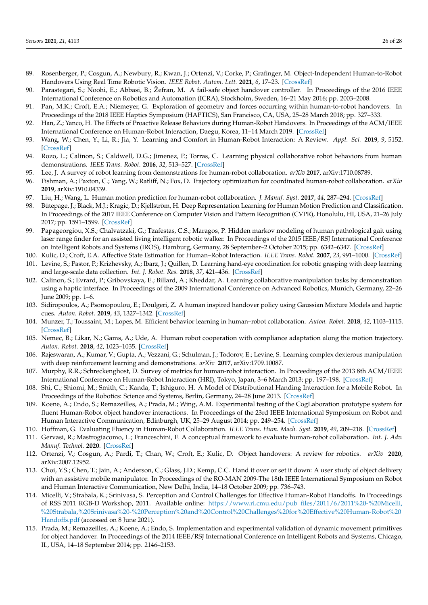- <span id="page-25-0"></span>89. Rosenberger, P.; Cosgun, A.; Newbury, R.; Kwan, J.; Ortenzi, V.; Corke, P.; Grafinger, M. Object-Independent Human-to-Robot Handovers Using Real Time Robotic Vision. *IEEE Robot. Autom. Lett.* **2021**, *6*, 17–23. [\[CrossRef\]](http://dx.doi.org/10.1109/LRA.2020.3026970)
- <span id="page-25-1"></span>90. Parastegari, S.; Noohi, E.; Abbasi, B.; Žefran, M. A fail-safe object handover controller. In Proceedings of the 2016 IEEE International Conference on Robotics and Automation (ICRA), Stockholm, Sweden, 16–21 May 2016; pp. 2003–2008.
- <span id="page-25-25"></span>91. Pan, M.K.; Croft, E.A.; Niemeyer, G. Exploration of geometry and forces occurring within human-to-robot handovers. In Proceedings of the 2018 IEEE Haptics Symposium (HAPTICS), San Francisco, CA, USA, 25–28 March 2018; pp. 327–333.
- <span id="page-25-2"></span>92. Han, Z.; Yanco, H. The Effects of Proactive Release Behaviors during Human-Robot Handovers. In Proceedings of the ACM/IEEE International Conference on Human-Robot Interaction, Daegu, Korea, 11–14 March 2019. [\[CrossRef\]](http://dx.doi.org/10.1109/HRI.2019.8673085)
- <span id="page-25-3"></span>93. Wang, W.; Chen, Y.; Li, R.; Jia, Y. Learning and Comfort in Human-Robot Interaction: A Review. *Appl. Sci.* **2019**, *9*, 5152. [\[CrossRef\]](http://dx.doi.org/10.3390/app9235152)
- <span id="page-25-15"></span>94. Rozo, L.; Calinon, S.; Caldwell, D.G.; Jimenez, P.; Torras, C. Learning physical collaborative robot behaviors from human demonstrations. *IEEE Trans. Robot.* **2016**, *32*, 513–527. [\[CrossRef\]](http://dx.doi.org/10.1109/TRO.2016.2540623)
- <span id="page-25-4"></span>95. Lee, J. A survey of robot learning from demonstrations for human-robot collaboration. *arXiv* **2017**, arXiv:1710.08789.
- <span id="page-25-5"></span>96. Fishman, A.; Paxton, C.; Yang, W.; Ratliff, N.; Fox, D. Trajectory optimization for coordinated human-robot collaboration. *arXiv* **2019**, arXiv:1910.04339.
- <span id="page-25-10"></span>97. Liu, H.; Wang, L. Human motion prediction for human-robot collaboration. *J. Manuf. Syst.* **2017**, *44*, 287–294. [\[CrossRef\]](http://dx.doi.org/10.1016/j.jmsy.2017.04.009)
- <span id="page-25-6"></span>98. Bütepage, J.; Black, M.J.; Kragic, D.; Kjellström, H. Deep Representation Learning for Human Motion Prediction and Classification. In Proceedings of the 2017 IEEE Conference on Computer Vision and Pattern Recognition (CVPR), Honolulu, HI, USA, 21–26 July 2017; pp. 1591–1599. [\[CrossRef\]](http://dx.doi.org/10.1109/CVPR.2017.173)
- <span id="page-25-7"></span>99. Papageorgiou, X.S.; Chalvatzaki, G.; Tzafestas, C.S.; Maragos, P. Hidden markov modeling of human pathological gait using laser range finder for an assisted living intelligent robotic walker. In Proceedings of the 2015 IEEE/RSJ International Conference on Intelligent Robots and Systems (IROS), Hamburg, Germany, 28 September–2 October 2015; pp. 6342–6347. [\[CrossRef\]](http://dx.doi.org/10.1109/IROS.2015.7354283)
- <span id="page-25-8"></span>100. Kulic, D.; Croft, E.A. Affective State Estimation for Human–Robot Interaction. *IEEE Trans. Robot.* **2007**, *23*, 991–1000. [\[CrossRef\]](http://dx.doi.org/10.1109/TRO.2007.904899)
- <span id="page-25-9"></span>101. Levine, S.; Pastor, P.; Krizhevsky, A.; Ibarz, J.; Quillen, D. Learning hand-eye coordination for robotic grasping with deep learning and large-scale data collection. *Int. J. Robot. Res.* **2018**, *37*, 421–436. [\[CrossRef\]](http://dx.doi.org/10.1177/0278364917710318)
- <span id="page-25-11"></span>102. Calinon, S.; Evrard, P.; Gribovskaya, E.; Billard, A.; Kheddar, A. Learning collaborative manipulation tasks by demonstration using a haptic interface. In Proceedings of the 2009 International Conference on Advanced Robotics, Munich, Germany, 22–26 June 2009; pp. 1–6.
- <span id="page-25-12"></span>103. Sidiropoulos, A.; Psomopoulou, E.; Doulgeri, Z. A human inspired handover policy using Gaussian Mixture Models and haptic cues. *Auton. Robot.* **2019**, *43*, 1327–1342. [\[CrossRef\]](http://dx.doi.org/10.1007/s10514-018-9705-x)
- <span id="page-25-13"></span>104. Munzer, T.; Toussaint, M.; Lopes, M. Efficient behavior learning in human–robot collaboration. *Auton. Robot.* **2018**, *42*, 1103–1115. [\[CrossRef\]](http://dx.doi.org/10.1007/s10514-017-9674-5)
- <span id="page-25-14"></span>105. Nemec, B.; Likar, N.; Gams, A.; Ude, A. Human robot cooperation with compliance adaptation along the motion trajectory. *Auton. Robot.* **2018**, *42*, 1023–1035. [\[CrossRef\]](http://dx.doi.org/10.1007/s10514-017-9676-3)
- <span id="page-25-16"></span>106. Rajeswaran, A.; Kumar, V.; Gupta, A.; Vezzani, G.; Schulman, J.; Todorov, E.; Levine, S. Learning complex dexterous manipulation with deep reinforcement learning and demonstrations. *arXiv* **2017**, arXiv:1709.10087.
- <span id="page-25-17"></span>107. Murphy, R.R.; Schreckenghost, D. Survey of metrics for human-robot interaction. In Proceedings of the 2013 8th ACM/IEEE International Conference on Human-Robot Interaction (HRI), Tokyo, Japan, 3–6 March 2013; pp. 197–198. [\[CrossRef\]](http://dx.doi.org/10.1109/HRI.2013.6483569)
- <span id="page-25-21"></span>108. Shi, C.; Shiomi, M.; Smith, C.; Kanda, T.; Ishiguro, H. A Model of Distributional Handing Interaction for a Mobile Robot. In Proceedings of the Robotics: Science and Systems, Berlin, Germany, 24–28 June 2013. [\[CrossRef\]](http://dx.doi.org/10.15607/RSS.2013.IX.055)
- <span id="page-25-22"></span>109. Koene, A.; Endo, S.; Remazeilles, A.; Prada, M.; Wing, A.M. Experimental testing of the CogLaboration prototype system for fluent Human-Robot object handover interactions. In Proceedings of the 23rd IEEE International Symposium on Robot and Human Interactive Communication, Edinburgh, UK, 25–29 August 2014; pp. 249–254. [\[CrossRef\]](http://dx.doi.org/10.1109/ROMAN.2014.6926261)
- <span id="page-25-19"></span>110. Hoffman, G. Evaluating Fluency in Human-Robot Collaboration. *IEEE Trans. Hum. Mach. Syst.* **2019**, *49*, 209–218. [\[CrossRef\]](http://dx.doi.org/10.1109/THMS.2019.2904558)
- <span id="page-25-18"></span>111. Gervasi, R.; Mastrogiacomo, L.; Franceschini, F. A conceptual framework to evaluate human-robot collaboration. *Int. J. Adv. Manuf. Technol.* **2020**. [\[CrossRef\]](http://dx.doi.org/10.1007/s00170-020-05363-1)
- <span id="page-25-20"></span>112. Ortenzi, V.; Cosgun, A.; Pardi, T.; Chan, W.; Croft, E.; Kulic, D. Object handovers: A review for robotics. *arXiv* **2020**, arXiv:2007.12952.
- <span id="page-25-23"></span>113. Choi, Y.S.; Chen, T.; Jain, A.; Anderson, C.; Glass, J.D.; Kemp, C.C. Hand it over or set it down: A user study of object delivery with an assistive mobile manipulator. In Proceedings of the RO-MAN 2009-The 18th IEEE International Symposium on Robot and Human Interactive Communication, New Delhi, India, 14–18 October 2009; pp. 736–743.
- <span id="page-25-26"></span>114. Micelli, V.; Strabala, K.; Srinivasa, S. Perception and Control Challenges for Effective Human-Robot Handoffs. In Proceedings of RSS 2011 RGB-D Workshop, 2011. Available online: [https://www.ri.cmu.edu/pub\\_files/2011/6/2011%20-%20Micelli,](https://www.ri.cmu.edu/pub_files/2011/6/2011%20-%20Micelli,%20Strabala,%20Srinivasa%20-%20Perception%20and%20Control%20Challenges%20for%20Effective%20Human-Robot%20Handoffs.pdf) [%20Strabala,%20Srinivasa%20-%20Perception%20and%20Control%20Challenges%20for%20Effective%20Human-Robot%20](https://www.ri.cmu.edu/pub_files/2011/6/2011%20-%20Micelli,%20Strabala,%20Srinivasa%20-%20Perception%20and%20Control%20Challenges%20for%20Effective%20Human-Robot%20Handoffs.pdf) [Handoffs.pdf](https://www.ri.cmu.edu/pub_files/2011/6/2011%20-%20Micelli,%20Strabala,%20Srinivasa%20-%20Perception%20and%20Control%20Challenges%20for%20Effective%20Human-Robot%20Handoffs.pdf) (accessed on 8 June 2021).
- <span id="page-25-24"></span>115. Prada, M.; Remazeilles, A.; Koene, A.; Endo, S. Implementation and experimental validation of dynamic movement primitives for object handover. In Proceedings of the 2014 IEEE/RSJ International Conference on Intelligent Robots and Systems, Chicago, IL, USA, 14–18 September 2014; pp. 2146–2153.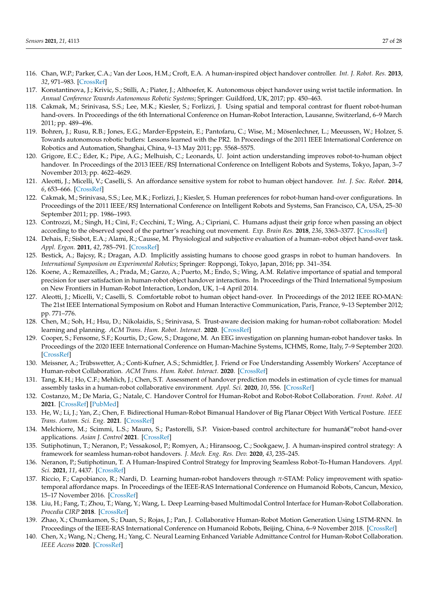- <span id="page-26-0"></span>116. Chan, W.P.; Parker, C.A.; Van der Loos, H.M.; Croft, E.A. A human-inspired object handover controller. *Int. J. Robot. Res.* **2013**, *32*, 971–983. [\[CrossRef\]](http://dx.doi.org/10.1177/0278364913488806)
- <span id="page-26-1"></span>117. Konstantinova, J.; Krivic, S.; Stilli, A.; Piater, J.; Althoefer, K. Autonomous object handover using wrist tactile information. In *Annual Conference Towards Autonomous Robotic Systems*; Springer: Guildford, UK, 2017; pp. 450–463.
- <span id="page-26-2"></span>118. Cakmak, M.; Srinivasa, S.S.; Lee, M.K.; Kiesler, S.; Forlizzi, J. Using spatial and temporal contrast for fluent robot-human hand-overs. In Proceedings of the 6th International Conference on Human-Robot Interaction, Lausanne, Switzerland, 6–9 March 2011; pp. 489–496.
- 119. Bohren, J.; Rusu, R.B.; Jones, E.G.; Marder-Eppstein, E.; Pantofaru, C.; Wise, M.; Mösenlechner, L.; Meeussen, W.; Holzer, S. Towards autonomous robotic butlers: Lessons learned with the PR2. In Proceedings of the 2011 IEEE International Conference on Robotics and Automation, Shanghai, China, 9–13 May 2011; pp. 5568–5575.
- 120. Grigore, E.C.; Eder, K.; Pipe, A.G.; Melhuish, C.; Leonards, U. Joint action understanding improves robot-to-human object handover. In Proceedings of the 2013 IEEE/RSJ International Conference on Intelligent Robots and Systems, Tokyo, Japan, 3–7 November 2013; pp. 4622–4629.
- <span id="page-26-3"></span>121. Aleotti, J.; Micelli, V.; Caselli, S. An affordance sensitive system for robot to human object handover. *Int. J. Soc. Robot.* **2014**, *6*, 653–666. [\[CrossRef\]](http://dx.doi.org/10.1007/s12369-014-0241-3)
- <span id="page-26-4"></span>122. Cakmak, M.; Srinivasa, S.S.; Lee, M.K.; Forlizzi, J.; Kiesler, S. Human preferences for robot-human hand-over configurations. In Proceedings of the 2011 IEEE/RSJ International Conference on Intelligent Robots and Systems, San Francisco, CA, USA, 25–30 September 2011; pp. 1986–1993.
- <span id="page-26-6"></span>123. Controzzi, M.; Singh, H.; Cini, F.; Cecchini, T.; Wing, A.; Cipriani, C. Humans adjust their grip force when passing an object according to the observed speed of the partner's reaching out movement. *Exp. Brain Res.* **2018**, *236*, 3363–3377. [\[CrossRef\]](http://dx.doi.org/10.1007/s00221-018-5381-5)
- <span id="page-26-5"></span>124. Dehais, F.; Sisbot, E.A.; Alami, R.; Causse, M. Physiological and subjective evaluation of a human–robot object hand-over task. *Appl. Ergon.* **2011**, *42*, 785–791. [\[CrossRef\]](http://dx.doi.org/10.1016/j.apergo.2010.12.005)
- <span id="page-26-7"></span>125. Bestick, A.; Bajcsy, R.; Dragan, A.D. Implicitly assisting humans to choose good grasps in robot to human handovers. In *International Symposium on Experimental Robotics*; Springer: Roppongi, Tokyo, Japan, 2016; pp. 341–354.
- <span id="page-26-8"></span>126. Koene, A.; Remazeilles, A.; Prada, M.; Garzo, A.; Puerto, M.; Endo, S.; Wing, A.M. Relative importance of spatial and temporal precision for user satisfaction in human-robot object handover interactions. In Proceedings of the Third International Symposium on New Frontiers in Human-Robot Interaction, London, UK, 1–4 April 2014.
- <span id="page-26-9"></span>127. Aleotti, J.; Micelli, V.; Caselli, S. Comfortable robot to human object hand-over. In Proceedings of the 2012 IEEE RO-MAN: The 21st IEEE International Symposium on Robot and Human Interactive Communication, Paris, France, 9–13 September 2012; pp. 771–776.
- <span id="page-26-10"></span>128. Chen, M.; Soh, H.; Hsu, D.; Nikolaidis, S.; Srinivasa, S. Trust-aware decision making for human-robot collaboration: Model learning and planning. *ACM Trans. Hum. Robot. Interact.* **2020**. [\[CrossRef\]](http://dx.doi.org/10.1145/3359616)
- 129. Cooper, S.; Fensome, S.F.; Kourtis, D.; Gow, S.; Dragone, M. An EEG investigation on planning human-robot handover tasks. In Proceedings of the 2020 IEEE International Conference on Human-Machine Systems, ICHMS, Rome, Italy, 7–9 September 2020. [\[CrossRef\]](http://dx.doi.org/10.1109/ICHMS49158.2020.9209543)
- 130. Meissner, A.; Trübswetter, A.; Conti-Kufner, A.S.; Schmidtler, J. Friend or Foe Understanding Assembly Workers' Acceptance of Human-robot Collaboration. *ACM Trans. Hum. Robot. Interact.* **2020**. [\[CrossRef\]](http://dx.doi.org/10.1145/3399433)
- <span id="page-26-11"></span>131. Tang, K.H.; Ho, C.F.; Mehlich, J.; Chen, S.T. Assessment of handover prediction models in estimation of cycle times for manual assembly tasks in a human-robot collaborative environment. *Appl. Sci.* **2020**, *10*, 556. [\[CrossRef\]](http://dx.doi.org/10.3390/app10020556)
- <span id="page-26-12"></span>132. Costanzo, M.; De Maria, G.; Natale, C. Handover Control for Human-Robot and Robot-Robot Collaboration. *Front. Robot. AI* **2021**. [\[CrossRef\]](http://dx.doi.org/10.3389/frobt.2021.672995) [\[PubMed\]](http://www.ncbi.nlm.nih.gov/pubmed/34026858)
- 133. He, W.; Li, J.; Yan, Z.; Chen, F. Bidirectional Human-Robot Bimanual Handover of Big Planar Object With Vertical Posture. *IEEE Trans. Autom. Sci. Eng.* **2021**. [\[CrossRef\]](http://dx.doi.org/10.1109/TASE.2020.3043480)
- <span id="page-26-13"></span>134. Melchiorre, M.; Scimmi, L.S.; Mauro, S.; Pastorelli, S.P. Vision-based control architecture for humanâ€"robot hand-over applications. *Asian J. Control* **2021**. [\[CrossRef\]](http://dx.doi.org/10.1002/asjc.2480)
- <span id="page-26-14"></span>135. Sutiphotinun, T.; Neranon, P.; Vessakosol, P.; Romyen, A.; Hiransoog, C.; Sookgaew, J. A human-inspired control strategy: A framework for seamless human-robot handovers. *J. Mech. Eng. Res. Dev.* **2020**, *43*, 235–245.
- <span id="page-26-15"></span>136. Neranon, P.; Sutiphotinun, T. A Human-Inspired Control Strategy for Improving Seamless Robot-To-Human Handovers. *Appl. Sci.* **2021**, *11*, 4437. [\[CrossRef\]](http://dx.doi.org/10.3390/app11104437)
- <span id="page-26-16"></span>137. Riccio, F.; Capobianco, R.; Nardi, D. Learning human-robot handovers through *π*-STAM: Policy improvement with spatiotemporal affordance maps. In Proceedings of the IEEE-RAS International Conference on Humanoid Robots, Cancun, Mexico, 15–17 November 2016. [\[CrossRef\]](http://dx.doi.org/10.1109/HUMANOIDS.2016.7803373)
- 138. Liu, H.; Fang, T.; Zhou, T.; Wang, Y.; Wang, L. Deep Learning-based Multimodal Control Interface for Human-Robot Collaboration. *Procedia CIRP* **2018**. [\[CrossRef\]](http://dx.doi.org/10.1016/j.procir.2018.03.224)
- 139. Zhao, X.; Chumkamon, S.; Duan, S.; Rojas, J.; Pan, J. Collaborative Human-Robot Motion Generation Using LSTM-RNN. In Proceedings of the IEEE-RAS International Conference on Humanoid Robots, Beijing, China, 6–9 November 2018. [\[CrossRef\]](http://dx.doi.org/10.1109/HUMANOIDS.2018.8625068)
- 140. Chen, X.; Wang, N.; Cheng, H.; Yang, C. Neural Learning Enhanced Variable Admittance Control for Human-Robot Collaboration. *IEEE Access* **2020**. [\[CrossRef\]](http://dx.doi.org/10.1109/ACCESS.2020.2969085)